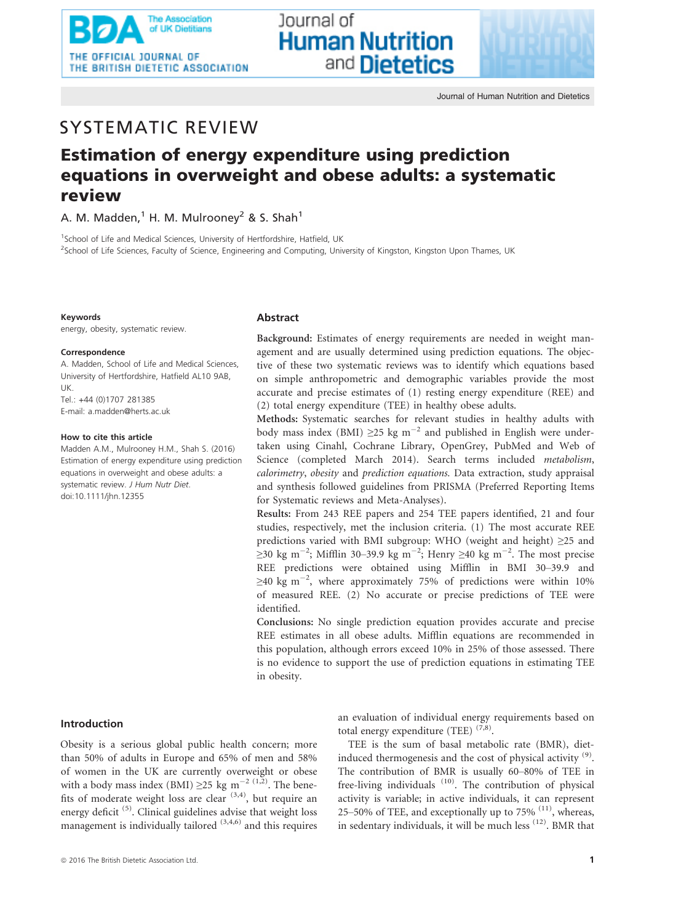

# SYSTEMATIC REVIEW

# Estimation of energy expenditure using prediction equations in overweight and obese adults: a systematic review

lournal of

**Human Nutrition** 

and **Dietetics** 

A. M. Madden,<sup>1</sup> H. M. Mulrooney<sup>2</sup> & S. Shah<sup>1</sup>

<sup>1</sup>School of Life and Medical Sciences, University of Hertfordshire, Hatfield, UK <sup>2</sup>School of Life Sciences, Faculty of Science, Engineering and Computing, University of Kingston, Kingston Upon Thames, UK

### Keywords

energy, obesity, systematic review.

### Correspondence

A. Madden, School of Life and Medical Sciences, University of Hertfordshire, Hatfield AL10 9AB, UK. Tel.: +44 (0)1707 281385 E-mail: a.madden@herts.ac.uk

### How to cite this article

Madden A.M., Mulrooney H.M., Shah S. (2016) Estimation of energy expenditure using prediction equations in overweight and obese adults: a systematic review. J Hum Nutr Diet. doi:[10.1111/jhn.12355](info:doi/10.1111/jhn.12355)

### Abstract

Background: Estimates of energy requirements are needed in weight management and are usually determined using prediction equations. The objective of these two systematic reviews was to identify which equations based on simple anthropometric and demographic variables provide the most accurate and precise estimates of (1) resting energy expenditure (REE) and (2) total energy expenditure (TEE) in healthy obese adults.

Methods: Systematic searches for relevant studies in healthy adults with body mass index (BMI)  $\geq$ 25 kg m<sup>-2</sup> and published in English were undertaken using Cinahl, Cochrane Library, OpenGrey, PubMed and Web of Science (completed March 2014). Search terms included metabolism, calorimetry, obesity and prediction equations. Data extraction, study appraisal and synthesis followed guidelines from PRISMA (Preferred Reporting Items for Systematic reviews and Meta-Analyses).

Results: From 243 REE papers and 254 TEE papers identified, 21 and four studies, respectively, met the inclusion criteria. (1) The most accurate REE predictions varied with BMI subgroup: WHO (weight and height) ≥25 and ≥30 kg m<sup>-2</sup>; Mifflin 30–39.9 kg m<sup>-2</sup>; Henry ≥40 kg m<sup>-2</sup>. The most precise REE predictions were obtained using Mifflin in BMI 30–39.9 and  $\geq$ 40 kg m<sup>-2</sup>, where approximately 75% of predictions were within 10% of measured REE. (2) No accurate or precise predictions of TEE were identified.

Conclusions: No single prediction equation provides accurate and precise REE estimates in all obese adults. Mifflin equations are recommended in this population, although errors exceed 10% in 25% of those assessed. There is no evidence to support the use of prediction equations in estimating TEE in obesity.

# Introduction

Obesity is a serious global public health concern; more than 50% of adults in Europe and 65% of men and 58% of women in the UK are currently overweight or obese with a body mass index (BMI)  $\geq$ 25 kg m<sup>-2 (1,2)</sup>. The benefits of moderate weight loss are clear  $(3,4)$ , but require an energy deficit<sup> $(5)$ </sup>. Clinical guidelines advise that weight loss management is individually tailored  $(3,4,6)$  and this requires an evaluation of individual energy requirements based on total energy expenditure (TEE)  $(7,8)$ .

TEE is the sum of basal metabolic rate (BMR), dietinduced thermogenesis and the cost of physical activity  $(9)$ . The contribution of BMR is usually 60–80% of TEE in free-living individuals <sup>(10)</sup>. The contribution of physical activity is variable; in active individuals, it can represent 25–50% of TEE, and exceptionally up to  $75\%$   $(11)$ , whereas, in sedentary individuals, it will be much less  $(12)$ . BMR that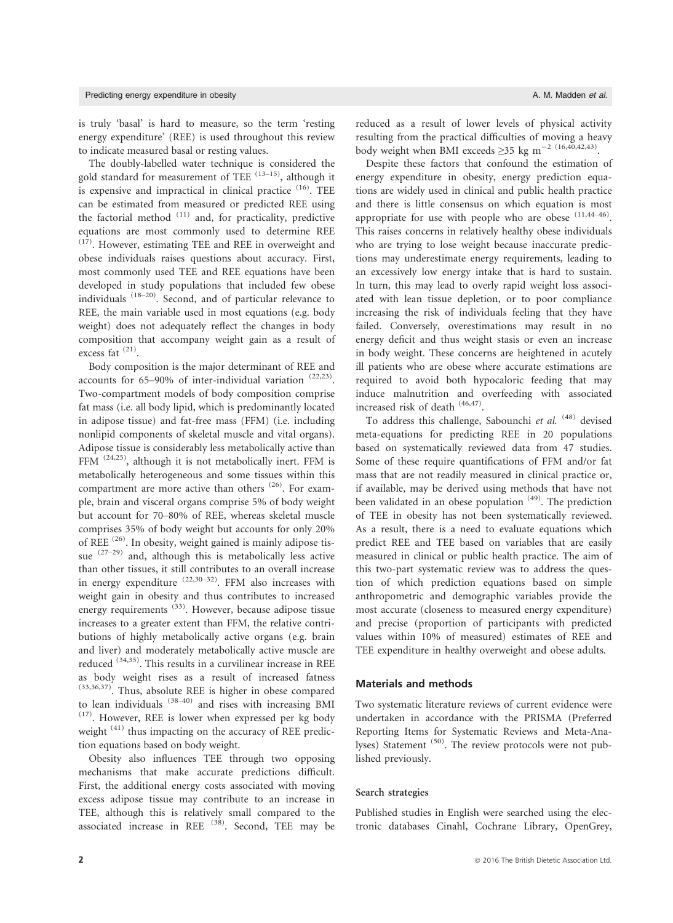is truly 'basal' is hard to measure, so the term 'resting energy expenditure' (REE) is used throughout this review to indicate measured basal or resting values.

The doubly-labelled water technique is considered the gold standard for measurement of TEE  $(13-15)$ , although it is expensive and impractical in clinical practice  $(16)$ . TEE can be estimated from measured or predicted REE using the factorial method  $(11)$  and, for practicality, predictive equations are most commonly used to determine REE  $(17)$ . However, estimating TEE and REE in overweight and obese individuals raises questions about accuracy. First, most commonly used TEE and REE equations have been developed in study populations that included few obese individuals (18–20). Second, and of particular relevance to REE, the main variable used in most equations (e.g. body weight) does not adequately reflect the changes in body composition that accompany weight gain as a result of excess fat<sup>(21)</sup>.

Body composition is the major determinant of REE and accounts for 65–90% of inter-individual variation  $(22,23)$ . Two-compartment models of body composition comprise fat mass (i.e. all body lipid, which is predominantly located in adipose tissue) and fat-free mass (FFM) (i.e. including nonlipid components of skeletal muscle and vital organs). Adipose tissue is considerably less metabolically active than FFM (24,25), although it is not metabolically inert. FFM is metabolically heterogeneous and some tissues within this compartment are more active than others (26). For example, brain and visceral organs comprise 5% of body weight but account for 70–80% of REE, whereas skeletal muscle comprises 35% of body weight but accounts for only 20% of REE<sup>(26)</sup>. In obesity, weight gained is mainly adipose tissue  $(27-29)$  and, although this is metabolically less active than other tissues, it still contributes to an overall increase in energy expenditure  $(22,30-32)$ . FFM also increases with weight gain in obesity and thus contributes to increased energy requirements <sup>(33)</sup>. However, because adipose tissue increases to a greater extent than FFM, the relative contributions of highly metabolically active organs (e.g. brain and liver) and moderately metabolically active muscle are reduced (34,35). This results in a curvilinear increase in REE as body weight rises as a result of increased fatness (33,36,37). Thus, absolute REE is higher in obese compared to lean individuals  $(38-40)$  and rises with increasing BMI  $(17)$ . However, REE is lower when expressed per kg body weight  $(41)$  thus impacting on the accuracy of REE prediction equations based on body weight.

Obesity also influences TEE through two opposing mechanisms that make accurate predictions difficult. First, the additional energy costs associated with moving excess adipose tissue may contribute to an increase in TEE, although this is relatively small compared to the associated increase in REE <sup>(38)</sup>. Second, TEE may be

reduced as a result of lower levels of physical activity resulting from the practical difficulties of moving a heavy body weight when BMI exceeds  $\geq$ 35 kg m<sup>-2 (16,40,42,43)</sup>.

Despite these factors that confound the estimation of energy expenditure in obesity, energy prediction equations are widely used in clinical and public health practice and there is little consensus on which equation is most appropriate for use with people who are obese  $(11,44-46)$ . This raises concerns in relatively healthy obese individuals who are trying to lose weight because inaccurate predictions may underestimate energy requirements, leading to an excessively low energy intake that is hard to sustain. In turn, this may lead to overly rapid weight loss associated with lean tissue depletion, or to poor compliance increasing the risk of individuals feeling that they have failed. Conversely, overestimations may result in no energy deficit and thus weight stasis or even an increase in body weight. These concerns are heightened in acutely ill patients who are obese where accurate estimations are required to avoid both hypocaloric feeding that may induce malnutrition and overfeeding with associated increased risk of death (46,47).

To address this challenge, Sabounchi et al. <sup>(48)</sup> devised meta-equations for predicting REE in 20 populations based on systematically reviewed data from 47 studies. Some of these require quantifications of FFM and/or fat mass that are not readily measured in clinical practice or, if available, may be derived using methods that have not been validated in an obese population  $(49)$ . The prediction of TEE in obesity has not been systematically reviewed. As a result, there is a need to evaluate equations which predict REE and TEE based on variables that are easily measured in clinical or public health practice. The aim of this two-part systematic review was to address the question of which prediction equations based on simple anthropometric and demographic variables provide the most accurate (closeness to measured energy expenditure) and precise (proportion of participants with predicted values within 10% of measured) estimates of REE and TEE expenditure in healthy overweight and obese adults.

### Materials and methods

Two systematic literature reviews of current evidence were undertaken in accordance with the PRISMA (Preferred Reporting Items for Systematic Reviews and Meta-Analyses) Statement <sup>(50)</sup>. The review protocols were not published previously.

### Search strategies

Published studies in English were searched using the electronic databases Cinahl, Cochrane Library, OpenGrey,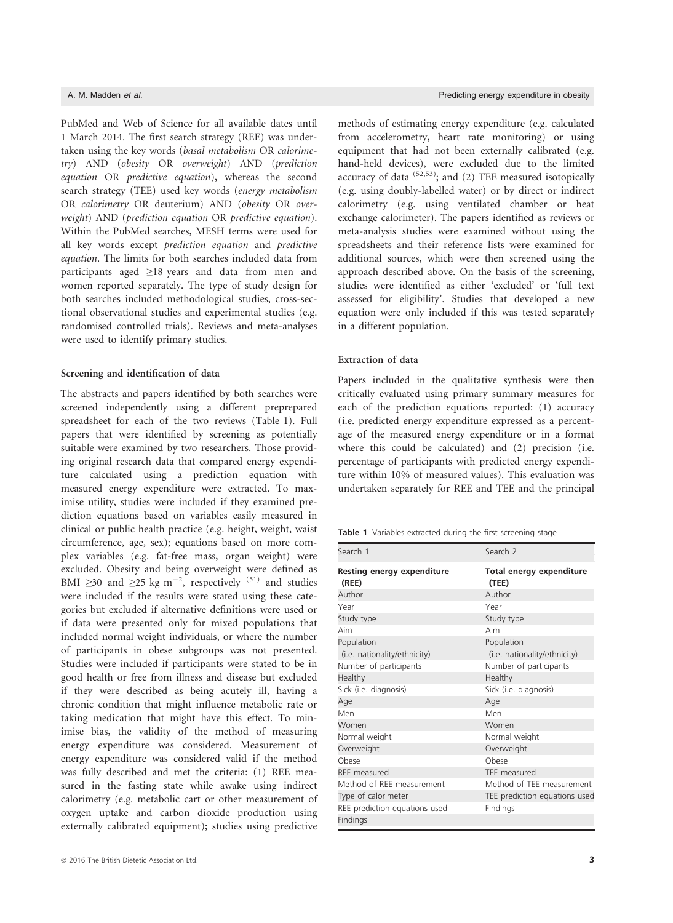PubMed and Web of Science for all available dates until 1 March 2014. The first search strategy (REE) was undertaken using the key words (basal metabolism OR calorimetry) AND (obesity OR overweight) AND (prediction equation OR predictive equation), whereas the second search strategy (TEE) used key words (energy metabolism OR calorimetry OR deuterium) AND (obesity OR overweight) AND (prediction equation OR predictive equation). Within the PubMed searches, MESH terms were used for all key words except prediction equation and predictive equation. The limits for both searches included data from participants aged ≥18 years and data from men and women reported separately. The type of study design for both searches included methodological studies, cross-sectional observational studies and experimental studies (e.g. randomised controlled trials). Reviews and meta-analyses were used to identify primary studies.

# Screening and identification of data

The abstracts and papers identified by both searches were screened independently using a different preprepared spreadsheet for each of the two reviews (Table 1). Full papers that were identified by screening as potentially suitable were examined by two researchers. Those providing original research data that compared energy expenditure calculated using a prediction equation with measured energy expenditure were extracted. To maximise utility, studies were included if they examined prediction equations based on variables easily measured in clinical or public health practice (e.g. height, weight, waist circumference, age, sex); equations based on more complex variables (e.g. fat-free mass, organ weight) were excluded. Obesity and being overweight were defined as BMI ≥30 and ≥25 kg m<sup>-2</sup>, respectively <sup>(51)</sup> and studies were included if the results were stated using these categories but excluded if alternative definitions were used or if data were presented only for mixed populations that included normal weight individuals, or where the number of participants in obese subgroups was not presented. Studies were included if participants were stated to be in good health or free from illness and disease but excluded if they were described as being acutely ill, having a chronic condition that might influence metabolic rate or taking medication that might have this effect. To minimise bias, the validity of the method of measuring energy expenditure was considered. Measurement of energy expenditure was considered valid if the method was fully described and met the criteria: (1) REE measured in the fasting state while awake using indirect calorimetry (e.g. metabolic cart or other measurement of oxygen uptake and carbon dioxide production using externally calibrated equipment); studies using predictive

methods of estimating energy expenditure (e.g. calculated from accelerometry, heart rate monitoring) or using equipment that had not been externally calibrated (e.g. hand-held devices), were excluded due to the limited accuracy of data  $(52,53)$ ; and (2) TEE measured isotopically (e.g. using doubly-labelled water) or by direct or indirect calorimetry (e.g. using ventilated chamber or heat exchange calorimeter). The papers identified as reviews or meta-analysis studies were examined without using the spreadsheets and their reference lists were examined for additional sources, which were then screened using the approach described above. On the basis of the screening, studies were identified as either 'excluded' or 'full text assessed for eligibility'. Studies that developed a new equation were only included if this was tested separately in a different population.

## Extraction of data

Papers included in the qualitative synthesis were then critically evaluated using primary summary measures for each of the prediction equations reported: (1) accuracy (i.e. predicted energy expenditure expressed as a percentage of the measured energy expenditure or in a format where this could be calculated) and (2) precision (i.e. percentage of participants with predicted energy expenditure within 10% of measured values). This evaluation was undertaken separately for REE and TEE and the principal

Table 1 Variables extracted during the first screening stage

| Search 1                            | Search <sub>2</sub>               |
|-------------------------------------|-----------------------------------|
| Resting energy expenditure<br>(REE) | Total energy expenditure<br>(TEE) |
| Author                              | Author                            |
| Year                                | Year                              |
| Study type                          | Study type                        |
| Aim                                 | Aim                               |
| Population                          | Population                        |
| (i.e. nationality/ethnicity)        | (i.e. nationality/ethnicity)      |
| Number of participants              | Number of participants            |
| Healthy                             | Healthy                           |
| Sick (i.e. diagnosis)               | Sick (i.e. diagnosis)             |
| Age                                 | Age                               |
| Men                                 | Men                               |
| Women                               | Women                             |
| Normal weight                       | Normal weight                     |
| Overweight                          | Overweight                        |
| Ohese                               | Ohese                             |
| REE measured                        | TEE measured                      |
| Method of REE measurement           | Method of TEE measurement         |
| Type of calorimeter                 | TEE prediction equations used     |
| REE prediction equations used       | Findings                          |
| Findings                            |                                   |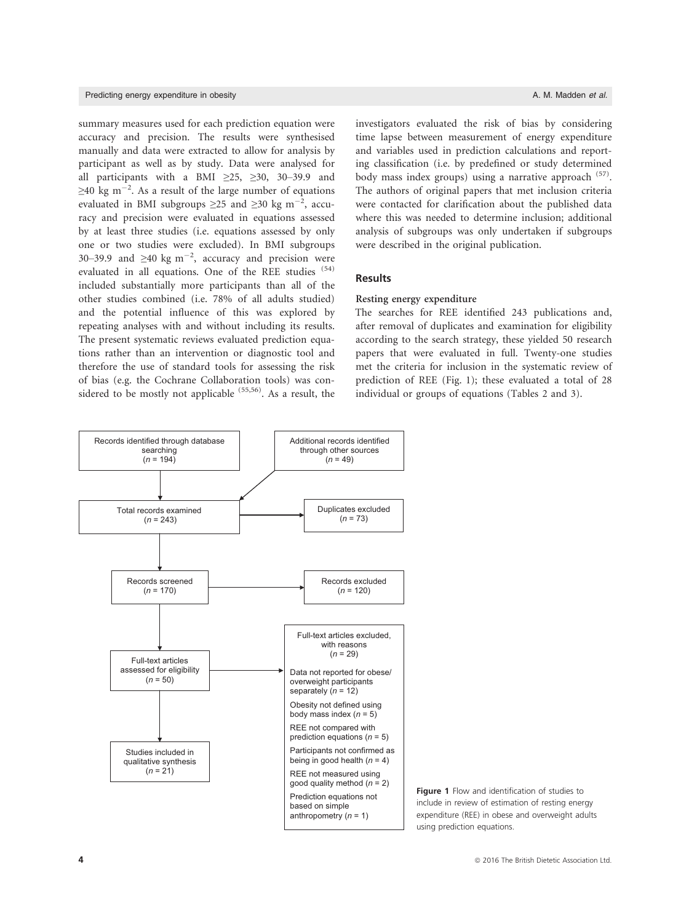### Predicting energy expenditure in obesity A. M. Madden et al.

summary measures used for each prediction equation were accuracy and precision. The results were synthesised manually and data were extracted to allow for analysis by participant as well as by study. Data were analysed for all participants with a BMI  $\geq 25$ ,  $\geq 30$ , 30–39.9 and  $\geq$ 40 kg m<sup>-2</sup>. As a result of the large number of equations evaluated in BMI subgroups  $\geq$ 25 and  $\geq$ 30 kg m<sup>-2</sup>, accuracy and precision were evaluated in equations assessed by at least three studies (i.e. equations assessed by only one or two studies were excluded). In BMI subgroups 30–39.9 and  $\geq 40$  kg m<sup>-2</sup>, accuracy and precision were evaluated in all equations. One of the REE studies (54) included substantially more participants than all of the other studies combined (i.e. 78% of all adults studied) and the potential influence of this was explored by repeating analyses with and without including its results. The present systematic reviews evaluated prediction equations rather than an intervention or diagnostic tool and therefore the use of standard tools for assessing the risk of bias (e.g. the Cochrane Collaboration tools) was considered to be mostly not applicable <sup>(55,56)</sup>. As a result, the

investigators evaluated the risk of bias by considering time lapse between measurement of energy expenditure and variables used in prediction calculations and reporting classification (i.e. by predefined or study determined body mass index groups) using a narrative approach <sup>(57)</sup>. The authors of original papers that met inclusion criteria were contacted for clarification about the published data where this was needed to determine inclusion; additional analysis of subgroups was only undertaken if subgroups were described in the original publication.

### **Results**

## Resting energy expenditure

The searches for REE identified 243 publications and, after removal of duplicates and examination for eligibility according to the search strategy, these yielded 50 research papers that were evaluated in full. Twenty-one studies met the criteria for inclusion in the systematic review of prediction of REE (Fig. 1); these evaluated a total of 28 individual or groups of equations (Tables 2 and 3).



Figure 1 Flow and identification of studies to include in review of estimation of resting energy expenditure (REE) in obese and overweight adults using prediction equations.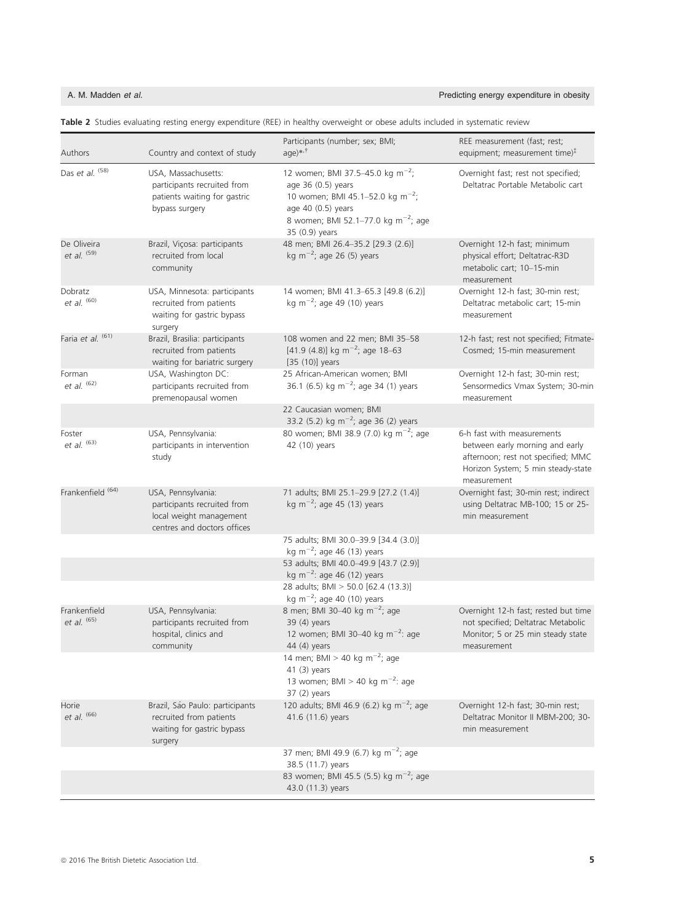A. M. Madden et al. **Predicting energy expenditure in obesity Predicting energy expenditure in obesity** 

| Authors                      | Country and context of study                                                                                | Participants (number; sex; BMI;<br>$aqe)$ * $t$                                                                                                                                                               | REE measurement (fast; rest;<br>equipment; measurement time) $‡$                                                                                         |
|------------------------------|-------------------------------------------------------------------------------------------------------------|---------------------------------------------------------------------------------------------------------------------------------------------------------------------------------------------------------------|----------------------------------------------------------------------------------------------------------------------------------------------------------|
| Das et al. (58)              | USA, Massachusetts:<br>participants recruited from<br>patients waiting for gastric<br>bypass surgery        | 12 women; BMI 37.5-45.0 kg m <sup>-2</sup> ;<br>age 36 (0.5) years<br>10 women; BMI 45.1-52.0 kg m <sup>-2</sup> ;<br>age 40 (0.5) years<br>8 women; BMI 52.1-77.0 kg m <sup>-2</sup> ; age<br>35 (0.9) years | Overnight fast; rest not specified;<br>Deltatrac Portable Metabolic cart                                                                                 |
| De Oliveira<br>et al. (59)   | Brazil, Viçosa: participants<br>recruited from local<br>community                                           | 48 men; BMI 26.4-35.2 [29.3 (2.6)]<br>kg m <sup><math>-2</math></sup> ; age 26 (5) years                                                                                                                      | Overnight 12-h fast; minimum<br>physical effort; Deltatrac-R3D<br>metabolic cart; 10-15-min<br>measurement                                               |
| Dobratz<br>et al. $(60)$     | USA, Minnesota: participants<br>recruited from patients<br>waiting for gastric bypass<br>surgery            | 14 women; BMI 41.3-65.3 [49.8 (6.2)]<br>kg m <sup><math>-2</math></sup> ; age 49 (10) years                                                                                                                   | Overnight 12-h fast; 30-min rest;<br>Deltatrac metabolic cart; 15-min<br>measurement                                                                     |
| Faria et al. (61)            | Brazil, Brasilia: participants<br>recruited from patients<br>waiting for bariatric surgery                  | 108 women and 22 men; BMI 35-58<br>[41.9 (4.8)] kg m <sup>-2</sup> ; age 18-63<br>$[35 (10)]$ years                                                                                                           | 12-h fast; rest not specified; Fitmate-<br>Cosmed; 15-min measurement                                                                                    |
| Forman<br>et al. $(62)$      | USA, Washington DC:<br>participants recruited from<br>premenopausal women                                   | 25 African-American women; BMI<br>36.1 (6.5) kg m <sup>-2</sup> ; age 34 (1) years                                                                                                                            | Overnight 12-h fast; 30-min rest;<br>Sensormedics Vmax System; 30-min<br>measurement                                                                     |
|                              |                                                                                                             | 22 Caucasian women; BMI<br>33.2 (5.2) kg m <sup>-2</sup> ; age 36 (2) years                                                                                                                                   |                                                                                                                                                          |
| Foster<br>et al. $(63)$      | USA, Pennsylvania:<br>participants in intervention<br>study                                                 | 80 women; BMI 38.9 (7.0) kg m <sup>-2</sup> ; age<br>42 (10) years                                                                                                                                            | 6-h fast with measurements<br>between early morning and early<br>afternoon; rest not specified; MMC<br>Horizon System; 5 min steady-state<br>measurement |
| Frankenfield <sup>(64)</sup> | USA, Pennsylvania:<br>participants recruited from<br>local weight management<br>centres and doctors offices | 71 adults; BMI 25.1-29.9 [27.2 (1.4)]<br>kg m <sup><math>-2</math></sup> ; age 45 (13) years                                                                                                                  | Overnight fast; 30-min rest; indirect<br>using Deltatrac MB-100; 15 or 25-<br>min measurement                                                            |
|                              |                                                                                                             | 75 adults; BMI 30.0-39.9 [34.4 (3.0)]<br>kg m <sup>-2</sup> ; age 46 (13) years                                                                                                                               |                                                                                                                                                          |
|                              |                                                                                                             | 53 adults; BMI 40.0-49.9 [43.7 (2.9)]                                                                                                                                                                         |                                                                                                                                                          |
|                              |                                                                                                             | kg m <sup><math>-2</math></sup> : age 46 (12) years<br>28 adults; BMI > 50.0 [62.4 (13.3)]                                                                                                                    |                                                                                                                                                          |
|                              |                                                                                                             | kg m <sup><math>-2</math></sup> ; age 40 (10) years                                                                                                                                                           |                                                                                                                                                          |
| Frankenfield<br>et al. (65)  | USA, Pennsylvania:<br>participants recruited from<br>hospital, clinics and<br>community                     | 8 men; BMI 30-40 kg m <sup>-2</sup> ; age<br>39 (4) years<br>12 women; BMI 30-40 kg $m^{-2}$ : age<br>44 (4) years                                                                                            | Overnight 12-h fast; rested but time<br>not specified; Deltatrac Metabolic<br>Monitor; 5 or 25 min steady state<br>measurement                           |
|                              |                                                                                                             | 14 men; BMI > 40 kg m <sup>-2</sup> ; age<br>$41(3)$ years<br>13 women; BMI > 40 kg m <sup>-2</sup> : age<br>$37(2)$ years                                                                                    |                                                                                                                                                          |
| Horie<br>et al. (66)         | Brazil, São Paulo: participants<br>recruited from patients<br>waiting for gastric bypass<br>surgery         | 120 adults; BMI 46.9 (6.2) kg m <sup>-2</sup> ; age<br>41.6 (11.6) years                                                                                                                                      | Overnight 12-h fast; 30-min rest;<br>Deltatrac Monitor II MBM-200; 30-<br>min measurement                                                                |
|                              |                                                                                                             | 37 men; BMI 49.9 (6.7) kg m <sup>-2</sup> ; age<br>38.5 (11.7) years<br>83 women; BMI 45.5 (5.5) kg m <sup>-2</sup> ; age                                                                                     |                                                                                                                                                          |
|                              |                                                                                                             | 43.0 (11.3) years                                                                                                                                                                                             |                                                                                                                                                          |

Table 2 Studies evaluating resting energy expenditure (REE) in healthy overweight or obese adults included in systematic review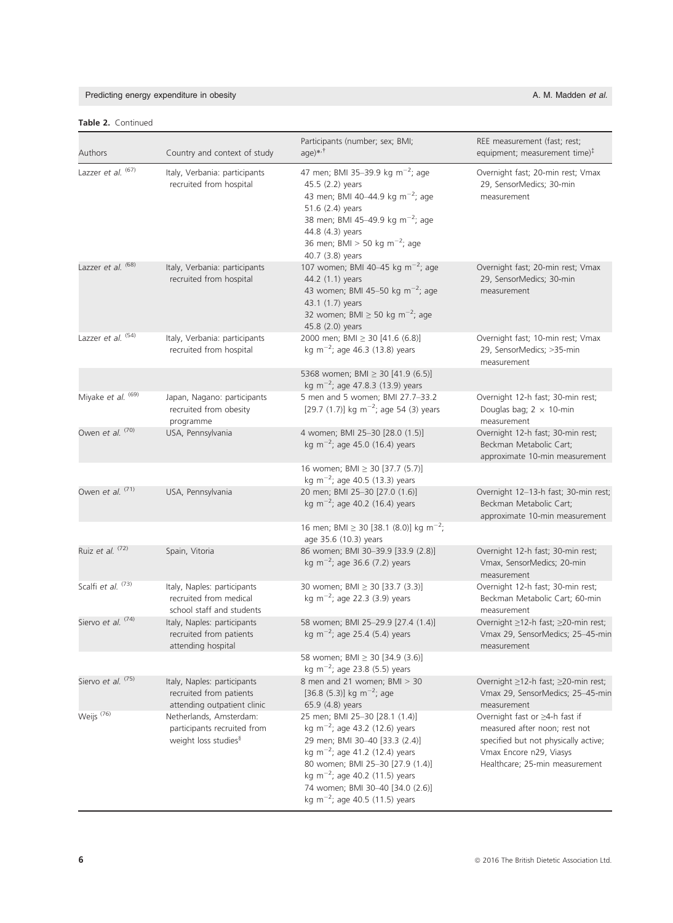# Predicting energy expenditure in obesity and the state of the state of the state of the state of the A. M. Madden et al.

# Table 2. Continued

| Authors                       | Country and context of study                                                               | Participants (number; sex; BMI;<br>$aqe)$ * $t$                                                                                                                                                                                                                                                                                  | REE measurement (fast; rest;<br>equipment; measurement time) $‡$                                                                                                     |
|-------------------------------|--------------------------------------------------------------------------------------------|----------------------------------------------------------------------------------------------------------------------------------------------------------------------------------------------------------------------------------------------------------------------------------------------------------------------------------|----------------------------------------------------------------------------------------------------------------------------------------------------------------------|
| Lazzer et al. (67)            | Italy, Verbania: participants<br>recruited from hospital                                   | 47 men; BMI 35-39.9 kg m <sup>-2</sup> ; age<br>45.5 (2.2) years<br>43 men; BMI 40-44.9 kg m <sup>-2</sup> ; age<br>51.6 (2.4) years<br>38 men; BMI 45-49.9 kg m <sup>-2</sup> ; age<br>44.8 (4.3) years<br>36 men; BMI > 50 kg m <sup>-2</sup> ; age<br>40.7 (3.8) years                                                        | Overnight fast; 20-min rest; Vmax<br>29, SensorMedics; 30-min<br>measurement                                                                                         |
| Lazzer et al. <sup>(68)</sup> | Italy, Verbania: participants<br>recruited from hospital                                   | 107 women; BMI 40-45 kg m <sup>-2</sup> ; age<br>44.2 (1.1) years<br>43 women; BMI 45-50 kg m <sup>-2</sup> ; age<br>43.1 (1.7) years<br>32 women; BMI $\geq$ 50 kg m <sup>-2</sup> ; age<br>45.8 (2.0) years                                                                                                                    | Overnight fast; 20-min rest; Vmax<br>29, SensorMedics; 30-min<br>measurement                                                                                         |
| Lazzer et al. (54)            | Italy, Verbania: participants<br>recruited from hospital                                   | 2000 men; BMI $\geq$ 30 [41.6 (6.8)]<br>kg m <sup>-2</sup> ; age 46.3 (13.8) years                                                                                                                                                                                                                                               | Overnight fast; 10-min rest; Vmax<br>29, SensorMedics; >35-min<br>measurement                                                                                        |
|                               |                                                                                            | 5368 women; BMI $\geq$ 30 [41.9 (6.5)]<br>kg m <sup>-2</sup> ; age 47.8.3 (13.9) years                                                                                                                                                                                                                                           |                                                                                                                                                                      |
| Miyake et al. (69)            | Japan, Nagano: participants<br>recruited from obesity<br>programme                         | 5 men and 5 women; BMI 27.7-33.2<br>[29.7 (1.7)] kg m <sup>-2</sup> ; age 54 (3) years                                                                                                                                                                                                                                           | Overnight 12-h fast; 30-min rest;<br>Douglas bag; $2 \times 10$ -min<br>measurement                                                                                  |
| Owen et al. (70)              | USA, Pennsylvania                                                                          | 4 women; BMI 25-30 [28.0 (1.5)]<br>kg m <sup><math>-2</math></sup> ; age 45.0 (16.4) years                                                                                                                                                                                                                                       | Overnight 12-h fast; 30-min rest;<br>Beckman Metabolic Cart;<br>approximate 10-min measurement                                                                       |
|                               |                                                                                            | 16 women; BMI ≥ 30 [37.7 (5.7)]<br>kg m <sup>-2</sup> ; age 40.5 (13.3) years                                                                                                                                                                                                                                                    |                                                                                                                                                                      |
| Owen et al. (71)              | USA, Pennsylvania                                                                          | 20 men; BMI 25-30 [27.0 (1.6)]<br>kg m <sup><math>-2</math></sup> ; age 40.2 (16.4) years                                                                                                                                                                                                                                        | Overnight 12-13-h fast; 30-min rest;<br>Beckman Metabolic Cart;<br>approximate 10-min measurement                                                                    |
|                               |                                                                                            | 16 men; BMI $\geq$ 30 [38.1 (8.0)] kg m <sup>-2</sup> ;<br>age 35.6 (10.3) years                                                                                                                                                                                                                                                 |                                                                                                                                                                      |
| Ruiz et al. (72)              | Spain, Vitoria                                                                             | 86 women; BMI 30-39.9 [33.9 (2.8)]<br>kg m <sup>-2</sup> ; age 36.6 (7.2) years                                                                                                                                                                                                                                                  | Overnight 12-h fast; 30-min rest;<br>Vmax, SensorMedics; 20-min<br>measurement                                                                                       |
| Scalfi et al. (73)            | Italy, Naples: participants<br>recruited from medical<br>school staff and students         | 30 women; BMI ≥ 30 [33.7 (3.3)]<br>kg m <sup>-2</sup> ; age 22.3 (3.9) years                                                                                                                                                                                                                                                     | Overnight 12-h fast; 30-min rest;<br>Beckman Metabolic Cart; 60-min<br>measurement                                                                                   |
| Siervo et al. (74)            | Italy, Naples: participants<br>recruited from patients<br>attending hospital               | 58 women; BMI 25-29.9 [27.4 (1.4)]<br>kg m <sup><math>-2</math></sup> ; age 25.4 (5.4) years                                                                                                                                                                                                                                     | Overnight ≥12-h fast; ≥20-min rest;<br>Vmax 29, SensorMedics; 25-45-min<br>measurement                                                                               |
|                               |                                                                                            | 58 women; BMI $\geq$ 30 [34.9 (3.6)]<br>kg m <sup>-2</sup> ; age 23.8 (5.5) years                                                                                                                                                                                                                                                |                                                                                                                                                                      |
| Siervo et al. <sup>(75)</sup> | Italy, Naples: participants<br>recruited from patients<br>attending outpatient clinic      | 8 men and 21 women; BMI > 30<br>[36.8 (5.3)] kg m <sup>-2</sup> ; age<br>65.9 (4.8) years                                                                                                                                                                                                                                        | Overnight ≥12-h fast; ≥20-min rest;<br>Vmax 29, SensorMedics; 25-45-min<br>measurement                                                                               |
| Weijs <sup>(76)</sup>         | Netherlands, Amsterdam:<br>participants recruited from<br>weight loss studies <sup>§</sup> | 25 men; BMI 25-30 [28.1 (1.4)]<br>kg m <sup>-2</sup> ; age 43.2 (12.6) years<br>29 men; BMI 30-40 [33.3 (2.4)]<br>kg m <sup>-2</sup> ; age 41.2 (12.4) years<br>80 women; BMI 25-30 [27.9 (1.4)]<br>kg m <sup>-2</sup> ; age 40.2 (11.5) years<br>74 women; BMI 30-40 [34.0 (2.6)]<br>kg m <sup>-2</sup> ; age 40.5 (11.5) years | Overnight fast or ≥4-h fast if<br>measured after noon; rest not<br>specified but not physically active;<br>Vmax Encore n29, Viasys<br>Healthcare; 25-min measurement |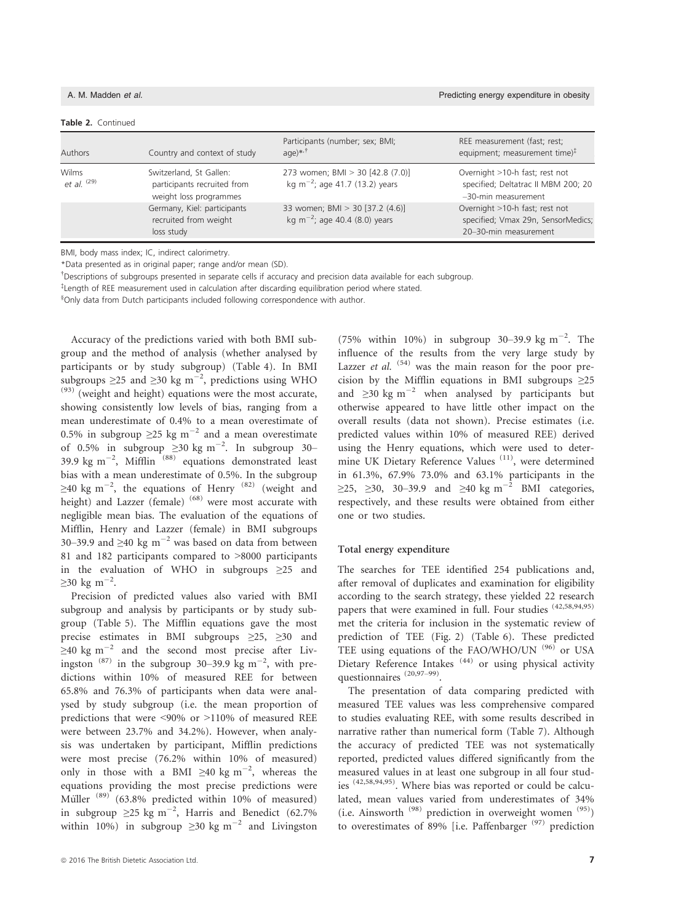### Table 2. Continued

| Authors                         | Country and context of study                                                     | Participants (number; sex; BMI;<br>$aqe)$ * $t$                                           | REE measurement (fast; rest;<br>equipment; measurement time) $‡$                              |
|---------------------------------|----------------------------------------------------------------------------------|-------------------------------------------------------------------------------------------|-----------------------------------------------------------------------------------------------|
| Wilms<br>et al. <sup>(29)</sup> | Switzerland, St Gallen:<br>participants recruited from<br>weight loss programmes | 273 women; BMI > 30 [42.8 (7.0)]<br>kg m <sup>-2</sup> ; age 41.7 (13.2) years            | Overnight >10-h fast; rest not<br>specified; Deltatrac II MBM 200; 20<br>-30-min measurement  |
|                                 | Germany, Kiel: participants<br>recruited from weight<br>loss study               | 33 women; BMI > 30 [37.2 (4.6)]<br>kg m <sup><math>-2</math></sup> ; age 40.4 (8.0) years | Overnight >10-h fast; rest not<br>specified; Vmax 29n, SensorMedics;<br>20-30-min measurement |

BMI, body mass index; IC, indirect calorimetry.

\*Data presented as in original paper; range and/or mean (SD).

† Descriptions of subgroups presented in separate cells if accuracy and precision data available for each subgroup.

‡ Length of REE measurement used in calculation after discarding equilibration period where stated.

§ Only data from Dutch participants included following correspondence with author.

Accuracy of the predictions varied with both BMI subgroup and the method of analysis (whether analysed by participants or by study subgroup) (Table 4). In BMI subgroups ≥25 and ≥30 kg m<sup>-2</sup>, predictions using WHO  $(93)$  (weight and height) equations were the most accurate, showing consistently low levels of bias, ranging from a mean underestimate of 0.4% to a mean overestimate of 0.5% in subgroup  $\geq$ 25 kg m<sup>-2</sup> and a mean overestimate of 0.5% in subgroup  $\geq$ 30 kg m<sup>-2</sup>. In subgroup 30-39.9 kg m<sup>-2</sup>, Mifflin<sup>(88)</sup> equations demonstrated least bias with a mean underestimate of 0.5%. In the subgroup  $\geq$ 40 kg m $^{-2}$ , the equations of Henry  $^{(82)}$  (weight and height) and Lazzer (female)<sup>(68)</sup> were most accurate with negligible mean bias. The evaluation of the equations of Mifflin, Henry and Lazzer (female) in BMI subgroups 30–39.9 and  $\geq$ 40 kg m<sup>-2</sup> was based on data from between 81 and 182 participants compared to >8000 participants in the evaluation of WHO in subgroups ≥25 and  $\geq$ 30 kg m<sup>-2</sup>.

Precision of predicted values also varied with BMI subgroup and analysis by participants or by study subgroup (Table 5). The Mifflin equations gave the most precise estimates in BMI subgroups ≥25, ≥30 and  $\geq$ 40 kg m<sup>-2</sup> and the second most precise after Livingston  $(87)$  in the subgroup 30–39.9 kg m<sup>-2</sup>, with predictions within 10% of measured REE for between 65.8% and 76.3% of participants when data were analysed by study subgroup (i.e. the mean proportion of predictions that were <90% or >110% of measured REE were between 23.7% and 34.2%). However, when analysis was undertaken by participant, Mifflin predictions were most precise (76.2% within 10% of measured) only in those with a BMI  $\geq 40$  kg m<sup>-2</sup>, whereas the equations providing the most precise predictions were Müller  $(89)$ <sup>(63.8%</sup> predicted within 10% of measured) in subgroup ≥25 kg m<sup>-2</sup>, Harris and Benedict (62.7% within 10%) in subgroup  $\geq$ 30 kg m<sup>-2</sup> and Livingston

(75% within 10%) in subgroup 30–39.9 kg m<sup>-2</sup>. The influence of the results from the very large study by Lazzer et al.  $(54)$  was the main reason for the poor precision by the Mifflin equations in BMI subgroups  $\geq 25$ and  $\geq$ 30 kg m<sup>-2</sup> when analysed by participants but otherwise appeared to have little other impact on the overall results (data not shown). Precise estimates (i.e. predicted values within 10% of measured REE) derived using the Henry equations, which were used to determine UK Dietary Reference Values<sup>(11)</sup>, were determined in 61.3%, 67.9% 73.0% and 63.1% participants in the  $\geq$ 25,  $\geq$ 30, 30–39.9 and  $\geq$ 40 kg m<sup>-2</sup> BMI categories, respectively, and these results were obtained from either one or two studies.

### Total energy expenditure

The searches for TEE identified 254 publications and, after removal of duplicates and examination for eligibility according to the search strategy, these yielded 22 research papers that were examined in full. Four studies <sup>(42,58,94,95)</sup> met the criteria for inclusion in the systematic review of prediction of TEE (Fig. 2) (Table 6). These predicted TEE using equations of the FAO/WHO/UN (96) or USA Dietary Reference Intakes<sup>(44)</sup> or using physical activity questionnaires (20,97-99).

The presentation of data comparing predicted with measured TEE values was less comprehensive compared to studies evaluating REE, with some results described in narrative rather than numerical form (Table 7). Although the accuracy of predicted TEE was not systematically reported, predicted values differed significantly from the measured values in at least one subgroup in all four studies (42,58,94,95). Where bias was reported or could be calculated, mean values varied from underestimates of 34% (i.e. Ainsworth  $(98)$  prediction in overweight women  $(95)$ ) to overestimates of 89% [i.e. Paffenbarger<sup>(97)</sup> prediction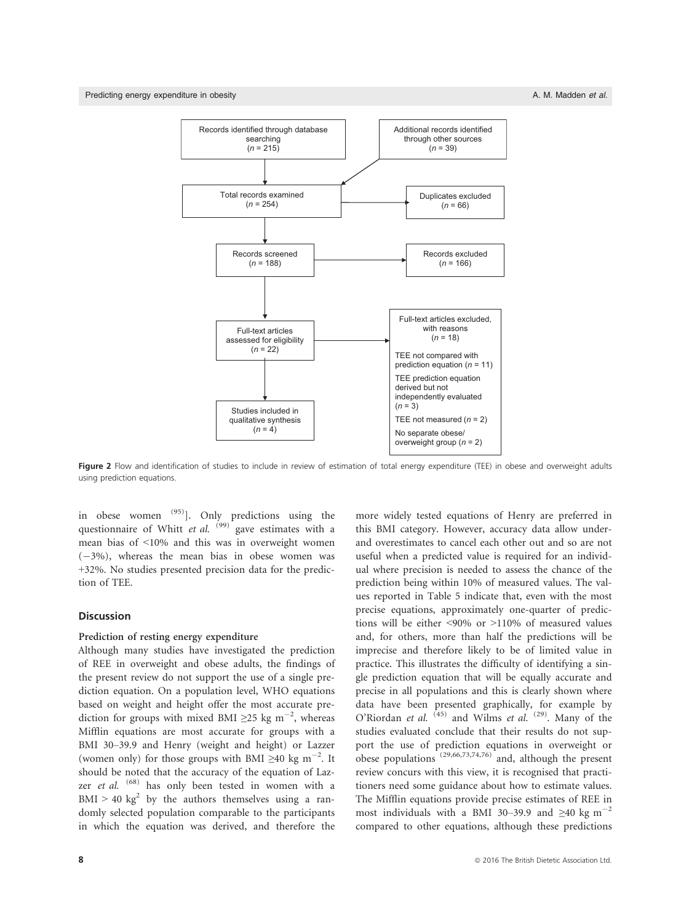Predicting energy expenditure in obesity and the state of the state of the state of the state of the state of the state of the state of the state of the state of the state of the state of the state of the state of the stat



Figure 2 Flow and identification of studies to include in review of estimation of total energy expenditure (TEE) in obese and overweight adults using prediction equations.

in obese women <sup>(95)</sup>]. Only predictions using the questionnaire of Whitt et al. <sup>(99)</sup> gave estimates with a mean bias of <10% and this was in overweight women  $(-3%)$ , whereas the mean bias in obese women was +32%. No studies presented precision data for the prediction of TEE.

# **Discussion**

### Prediction of resting energy expenditure

Although many studies have investigated the prediction of REE in overweight and obese adults, the findings of the present review do not support the use of a single prediction equation. On a population level, WHO equations based on weight and height offer the most accurate prediction for groups with mixed BMI  $\geq$ 25 kg m<sup>-2</sup>, whereas Mifflin equations are most accurate for groups with a BMI 30–39.9 and Henry (weight and height) or Lazzer (women only) for those groups with BMI  $\geq 40$  kg m<sup>-2</sup>. It should be noted that the accuracy of the equation of Lazzer et al. <sup>(68)</sup> has only been tested in women with a  $BMI > 40 \text{ kg}^2$  by the authors themselves using a randomly selected population comparable to the participants in which the equation was derived, and therefore the

more widely tested equations of Henry are preferred in this BMI category. However, accuracy data allow underand overestimates to cancel each other out and so are not useful when a predicted value is required for an individual where precision is needed to assess the chance of the prediction being within 10% of measured values. The values reported in Table 5 indicate that, even with the most precise equations, approximately one-quarter of predictions will be either <90% or >110% of measured values and, for others, more than half the predictions will be imprecise and therefore likely to be of limited value in practice. This illustrates the difficulty of identifying a single prediction equation that will be equally accurate and precise in all populations and this is clearly shown where data have been presented graphically, for example by O'Riordan et al.  $^{(45)}$  and Wilms et al.  $^{(29)}$ . Many of the studies evaluated conclude that their results do not support the use of prediction equations in overweight or obese populations (29,66,73,74,76) and, although the present review concurs with this view, it is recognised that practitioners need some guidance about how to estimate values. The Mifflin equations provide precise estimates of REE in most individuals with a BMI 30–39.9 and  $\geq 40$  kg m<sup>-2</sup> compared to other equations, although these predictions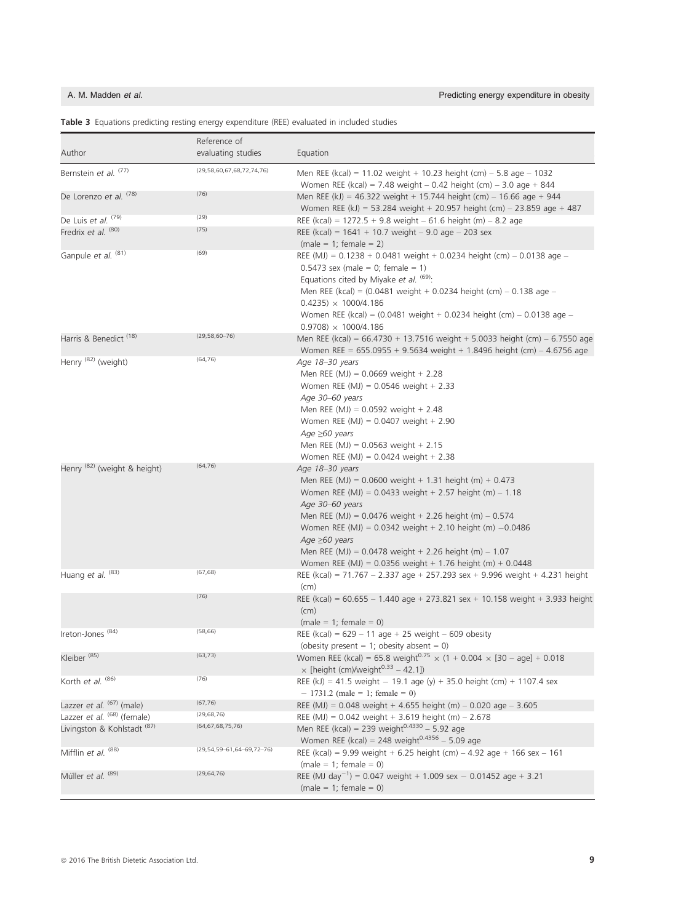|                                         | Reference of                          |                                                                                                                                                                                                                                                                                                                                                                                                                                          |
|-----------------------------------------|---------------------------------------|------------------------------------------------------------------------------------------------------------------------------------------------------------------------------------------------------------------------------------------------------------------------------------------------------------------------------------------------------------------------------------------------------------------------------------------|
| Author                                  | evaluating studies                    | Equation                                                                                                                                                                                                                                                                                                                                                                                                                                 |
| Bernstein et al. (77)                   | (29, 58, 60, 67, 68, 72, 74, 76)      | Men REE (kcal) = 11.02 weight + 10.23 height (cm) $-$ 5.8 age $-$ 1032<br>Women REE (kcal) = 7.48 weight $-$ 0.42 height (cm) $-$ 3.0 age $+$ 844                                                                                                                                                                                                                                                                                        |
| De Lorenzo et al. (78)                  | (76)                                  | Men REE (kJ) = 46.322 weight + 15.744 height (cm) - 16.66 age + 944<br>Women REE (kJ) = 53.284 weight + 20.957 height (cm) - 23.859 age + 487                                                                                                                                                                                                                                                                                            |
| De Luis et al. (79)                     | (29)                                  | REE (kcal) = $1272.5 + 9.8$ weight $- 61.6$ height (m) $- 8.2$ age                                                                                                                                                                                                                                                                                                                                                                       |
| Fredrix et al. (80)                     | (75)                                  | REE (kcal) = $1641 + 10.7$ weight $- 9.0$ age $- 203$ sex<br>$(male = 1; female = 2)$                                                                                                                                                                                                                                                                                                                                                    |
| Ganpule et al. (81)                     | (69)                                  | REE (MJ) = $0.1238 + 0.0481$ weight + 0.0234 height (cm) - 0.0138 age -<br>$0.5473$ sex (male = 0; female = 1)<br>Equations cited by Miyake et al. (69):<br>Men REE (kcal) = (0.0481 weight + 0.0234 height (cm) - 0.138 age -<br>$0.4235 \times 1000/4.186$<br>Women REE (kcal) = (0.0481 weight + 0.0234 height (cm) - 0.0138 age -<br>$0.9708$ $\times$ 1000/4.186                                                                    |
| Harris & Benedict (18)                  | $(29, 58, 60 - 76)$                   | Men REE (kcal) = $66.4730 + 13.7516$ weight + 5.0033 height (cm) - 6.7550 age<br>Women REE = $655.0955 + 9.5634$ weight + 1.8496 height (cm) - 4.6756 age                                                                                                                                                                                                                                                                                |
| Henry <sup>(82)</sup> (weight)          | (64, 76)                              | Age 18-30 years<br>Men REE (MJ) = $0.0669$ weight + 2.28<br>Women REE (MJ) = $0.0546$ weight + 2.33<br>Age 30-60 years<br>Men REE (MJ) = $0.0592$ weight + 2.48<br>Women REE (MJ) = $0.0407$ weight + 2.90<br>Age $\geq 60$ years<br>Men REE (MJ) = $0.0563$ weight + 2.15<br>Women REE (MJ) = $0.0424$ weight + 2.38                                                                                                                    |
| Henry <sup>(82)</sup> (weight & height) | (64, 76)                              | Age 18-30 years<br>Men REE (MJ) = $0.0600$ weight + 1.31 height (m) + 0.473<br>Women REE (MJ) = $0.0433$ weight + 2.57 height (m) - 1.18<br>Age 30-60 years<br>Men REE (MJ) = $0.0476$ weight + 2.26 height (m) - 0.574<br>Women REE (MJ) = $0.0342$ weight + 2.10 height (m) $-0.0486$<br>Age $\geq 60$ years<br>Men REE (MJ) = $0.0478$ weight + 2.26 height (m) - 1.07<br>Women REE (MJ) = $0.0356$ weight + 1.76 height (m) + 0.0448 |
| Huang et al. (83)                       | (67, 68)                              | REE (kcal) = 71.767 - 2.337 age + 257.293 sex + 9.996 weight + 4.231 height<br>(cm)                                                                                                                                                                                                                                                                                                                                                      |
|                                         | (76)                                  | REE (kcal) = $60.655 - 1.440$ age + 273.821 sex + 10.158 weight + 3.933 height<br>(cm)<br>$(male = 1; female = 0)$                                                                                                                                                                                                                                                                                                                       |
| Ireton-Jones <sup>(84)</sup>            | (58, 66)                              | REE (kcal) = $629 - 11$ age + 25 weight - 609 obesity<br>(obesity present = 1; obesity absent = 0)                                                                                                                                                                                                                                                                                                                                       |
| Kleiber <sup>(85)</sup>                 | (63, 73)                              | Women REE (kcal) = 65.8 weight <sup>0.75</sup> $\times$ (1 + 0.004 $\times$ [30 – age] + 0.018<br>$\times$ [height (cm)/weight <sup>0.33</sup> - 42.1])                                                                                                                                                                                                                                                                                  |
| Korth et al. (86)                       | (76)                                  | REE (kJ) = 41.5 weight - 19.1 age (y) + 35.0 height (cm) + 1107.4 sex<br>$-1731.2$ (male = 1; female = 0)                                                                                                                                                                                                                                                                                                                                |
| Lazzer et al. <sup>(67)</sup> (male)    | (67, 76)                              | REE (MJ) = 0.048 weight + 4.655 height (m) - 0.020 age - 3.605                                                                                                                                                                                                                                                                                                                                                                           |
| Lazzer et al. (68) (female)             | (29, 68, 76)                          | REE (MJ) = $0.042$ weight + 3.619 height (m) - 2.678                                                                                                                                                                                                                                                                                                                                                                                     |
| Livingston & Kohlstadt <sup> (87)</sup> | (64, 67, 68, 75, 76)                  | Men REE (kcal) = 239 weight $^{0.4330}$ - 5.92 age<br>Women REE (kcal) = 248 weight $^{0.4356}$ - 5.09 age                                                                                                                                                                                                                                                                                                                               |
| Mifflin et al. (88)                     | $(29, 54, 59 - 61, 64 - 69, 72 - 76)$ | REE (kcal) = 9.99 weight + 6.25 height (cm) - 4.92 age + 166 sex - 161<br>$(male = 1; female = 0)$                                                                                                                                                                                                                                                                                                                                       |
| Müller et al. <sup>(89)</sup>           | (29, 64, 76)                          | REE (MJ day <sup>-1</sup> ) = 0.047 weight + 1.009 sex - 0.01452 age + 3.21<br>$(male = 1; female = 0)$                                                                                                                                                                                                                                                                                                                                  |

## Table 3 Equations predicting resting energy expenditure (REE) evaluated in included studies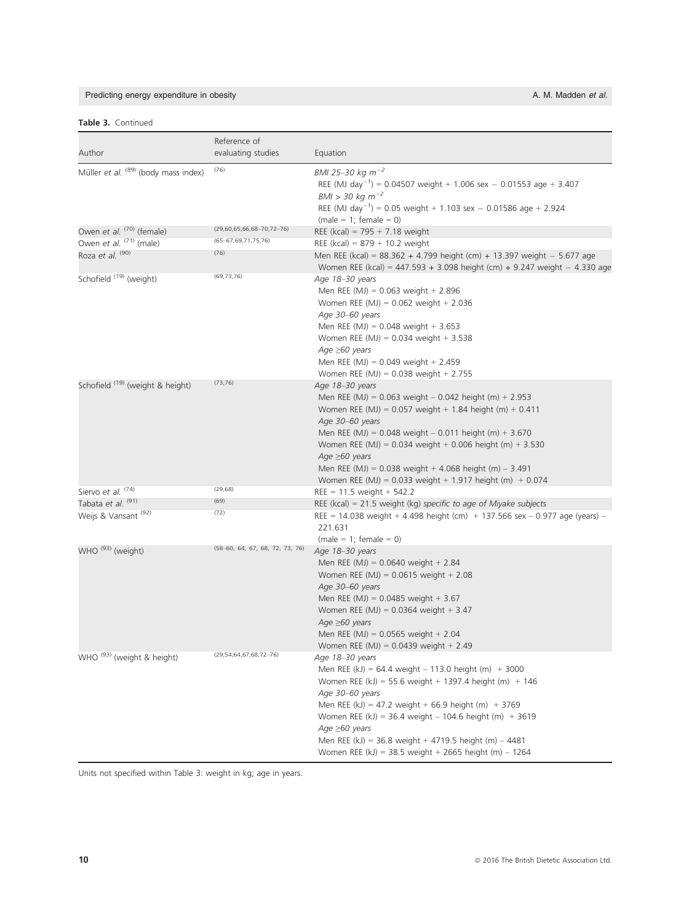# Predicting energy expenditure in obesity and the state of the state of the state of the state of the A. M. Madden et al.

# Table 3. Continued

| Author                                | Reference of<br>evaluating studies | Equation                                                                                                                                                                                                                                                                                                                                                                                                                                 |
|---------------------------------------|------------------------------------|------------------------------------------------------------------------------------------------------------------------------------------------------------------------------------------------------------------------------------------------------------------------------------------------------------------------------------------------------------------------------------------------------------------------------------------|
| Müller et al. (89) (body mass index)  | (76)                               | BMI 25-30 kg $m^{-2}$<br>REE (MJ day <sup>-1</sup> ) = 0.04507 weight + 1.006 sex - 0.01553 age + 3.407<br>$BM > 30 kg m^{-2}$<br>REE (MJ day <sup>-1</sup> ) = 0.05 weight + 1.103 sex - 0.01586 age + 2.924<br>$(male = 1; female = 0)$                                                                                                                                                                                                |
| Owen et al. (70) (female)             | $(29,60,65,66,68-70,72-76)$        |                                                                                                                                                                                                                                                                                                                                                                                                                                          |
| Owen et al. (71) (male)               | (65-67,69,71,75,76)                | REE (kcal) = $795 + 7.18$ weight                                                                                                                                                                                                                                                                                                                                                                                                         |
| Roza et al. <sup>(90)</sup>           | (76)                               | REE (kcal) = $879 + 10.2$ weight<br>Men REE (kcal) = $88.362 + 4.799$ height (cm) + 13.397 weight - 5.677 age<br>Women REE (kcal) = 447.593 + 3.098 height (cm) + 9.247 weight $-$ 4.330 age                                                                                                                                                                                                                                             |
| Schofield (19) (weight)               | (69, 73, 76)                       | Age 18-30 years<br>Men REE (MJ) = $0.063$ weight + 2.896<br>Women REE (MJ) = $0.062$ weight + 2.036<br>Age 30-60 years<br>Men REE (MJ) = $0.048$ weight + 3.653<br>Women REE (MJ) = $0.034$ weight + 3.538<br>Age $\geq 60$ years<br>Men REE (MJ) = $0.049$ weight + 2.459<br>Women REE (MJ) = $0.038$ weight + 2.755                                                                                                                    |
| Schofield (19) (weight & height)      | (73, 76)                           | Age 18-30 years<br>Men REE (MJ) = $0.063$ weight $- 0.042$ height (m) + 2.953<br>Women REE (MJ) = $0.057$ weight + 1.84 height (m) + 0.411<br>Age 30-60 years<br>Men REE (MJ) = $0.048$ weight $- 0.011$ height (m) + 3.670<br>Women REE (MJ) = $0.034$ weight + 0.006 height (m) + 3.530<br>Age $\geq 60$ years<br>Men REE (MJ) = $0.038$ weight + 4.068 height (m) - 3.491<br>Women REE (MJ) = 0.033 weight + 1.917 height (m) + 0.074 |
| Siervo et al. (74)                    | (29, 68)                           | $REE = 11.5$ weight + 542.2                                                                                                                                                                                                                                                                                                                                                                                                              |
| Tabata et al. (91)                    | (69)                               | REE (kcal) = 21.5 weight (kg) specific to age of Miyake subjects                                                                                                                                                                                                                                                                                                                                                                         |
| Weijs & Vansant <sup>(92)</sup>       | (72)                               | REE = 14.038 weight + 4.498 height (cm) + 137.566 sex - 0.977 age (years) -<br>221.631<br>$(male = 1; female = 0)$                                                                                                                                                                                                                                                                                                                       |
| WHO <sup>(93)</sup> (weight)          | (58-60, 64, 67, 68, 72, 73, 76)    | Age 18-30 years<br>Men REE (MJ) = $0.0640$ weight + 2.84<br>Women REE (MJ) = $0.0615$ weight + 2.08<br>Age 30-60 years<br>Men REE (MJ) = 0.0485 weight + 3.67<br>Women REE (MJ) = $0.0364$ weight + 3.47<br>Age $\geq 60$ years<br>Men REE (MJ) = $0.0565$ weight + 2.04<br>Women REE (MJ) = $0.0439$ weight + 2.49                                                                                                                      |
| WHO <sup>(93)</sup> (weight & height) | $(29, 54, 64, 67, 68, 72 - 76)$    | Age 18-30 years<br>Men REE (kJ) = 64.4 weight - 113.0 height (m) $+3000$<br>Women REE (kJ) = 55.6 weight + 1397.4 height (m) + 146<br>Age 30-60 years<br>Men REE (kJ) = 47.2 weight + 66.9 height (m) + 3769<br>Women REE (kJ) = 36.4 weight - 104.6 height (m) + 3619<br>Age $\geq 60$ years<br>Men REE (kJ) = 36.8 weight + 4719.5 height (m) $-$ 4481<br>Women REE (kJ) = 38.5 weight + 2665 height (m) $- 1264$                      |

Units not specified within Table 3: weight in kg; age in years.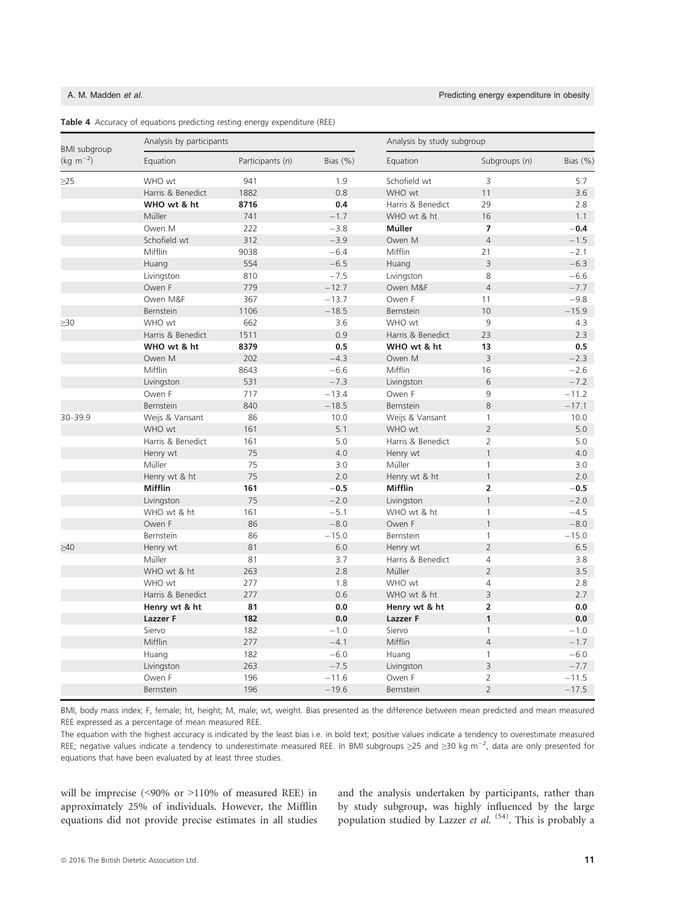| <b>BMI</b> subgroup | Analysis by participants |                  |             |                   | Analysis by study subgroup     |             |  |
|---------------------|--------------------------|------------------|-------------|-------------------|--------------------------------|-------------|--|
| $(kg m^{-2})$       | Equation                 | Participants (n) | Bias $(\%)$ | Equation          | Subgroups (n)                  | Bias $(\%)$ |  |
| $\geq$ 25           | WHO wt                   | 941              | 1.9         | Schofield wt      | 3                              | 5.7         |  |
|                     | Harris & Benedict        | 1882             | 0.8         | WHO wt            | 11                             | 3.6         |  |
|                     | WHO wt & ht              | 8716             | 0.4         | Harris & Benedict | 29                             | 2.8         |  |
|                     | Müller                   | 741              | $-1.7$      | WHO wt & ht       | 16                             | 1.1         |  |
|                     | Owen M                   | 222              | $-3.8$      | <b>Müller</b>     | $\overline{7}$                 | $-0.4$      |  |
|                     | Schofield wt             | 312              | $-3.9$      | Owen M            | $\overline{4}$                 | $-1.5$      |  |
|                     | Mifflin                  | 9038             | $-6.4$      | Mifflin           | 21                             | $-2.1$      |  |
|                     | Huang                    | 554              | $-6.5$      | Huang             | 3                              | $-6.3$      |  |
|                     | Livingston               | 810              | $-7.5$      | Livingston        | 8                              | $-6.6$      |  |
|                     | Owen F                   | 779              | $-12.7$     | Owen M&F          | $\overline{4}$                 | $-7.7$      |  |
|                     | Owen M&F                 | 367              | $-13.7$     | Owen F            | 11                             | $-9.8$      |  |
|                     | Bernstein                | 1106             | $-18.5$     | Bernstein         | 10                             | $-15.9$     |  |
| $\geq 30$           | WHO wt                   | 662              | 3.6         | WHO wt            | 9                              | 4.3         |  |
|                     | Harris & Benedict        | 1511             | 0.9         | Harris & Benedict | 23                             | 2.3         |  |
|                     | WHO wt & ht              | 8379             | 0.5         | WHO wt & ht       | 13                             | 0.5         |  |
|                     | Owen M                   | 202              | $-4.3$      | Owen M            | 3                              | $-2.3$      |  |
|                     | Mifflin                  | 8643             | $-6.6$      | Mifflin           | 16                             | $-2.6$      |  |
|                     | Livingston               | 531              | $-7.3$      | Livingston        | 6                              | $-7.2$      |  |
|                     | Owen F                   | 717              | $-13.4$     | Owen F            | 9                              | $-11.2$     |  |
|                     | Bernstein                | 840              | $-18.5$     | Bernstein         | 8                              | $-17.1$     |  |
| 30-39.9             | Weijs & Vansant          | 86               | 10.0        | Weijs & Vansant   | $\mathbf{1}$                   | 10.0        |  |
|                     | WHO wt                   | 161              | 5.1         | WHO wt            | $\overline{2}$                 | 5.0         |  |
|                     | Harris & Benedict        | 161              | 5.0         | Harris & Benedict | $\overline{2}$                 | 5.0         |  |
|                     | Henry wt                 | 75               | 4.0         | Henry wt          | $\mathbf{1}$                   | 4.0         |  |
|                     | Müller                   | 75               | 3.0         | Müller            | $\mathbf{1}$                   | 3.0         |  |
|                     | Henry wt & ht            | 75               | 2.0         | Henry wt & ht     | $\mathbf{1}$                   | 2.0         |  |
|                     | <b>Mifflin</b>           | 161              | $-0.5$      | <b>Mifflin</b>    | $\overline{2}$                 | $-0.5$      |  |
|                     | Livingston               | 75               | $-2.0$      | Livingston        | $\mathbf{1}$                   | $-2.0$      |  |
|                     | WHO wt & ht              | 161              | $-5.1$      | WHO wt & ht       | $\mathbf{1}$                   | $-4.5$      |  |
|                     | Owen F                   | 86               | $-8.0$      | Owen F            | $\mathbf{1}$                   | $-8.0$      |  |
|                     | Bernstein                | 86               | $-15.0$     | Bernstein         | $\mathbf{1}$                   | $-15.0$     |  |
| $\geq 40$           | Henry wt                 | 81               | 6.0         | Henry wt          | $\overline{2}$                 | 6.5         |  |
|                     | Müller                   | 81               | 3.7         | Harris & Benedict | $\overline{4}$                 | 3.8         |  |
|                     | WHO wt & ht              | 263              | 2.8         | Müller            | $\overline{2}$                 | 3.5         |  |
|                     | WHO wt                   | 277              | 1.8         | WHO wt            | $\overline{4}$                 | 2.8         |  |
|                     | Harris & Benedict        | 277              | 0.6         | WHO wt & ht       | 3                              | 2.7         |  |
|                     | Henry wt & ht            | 81               | 0.0         | Henry wt & ht     | $\overline{2}$                 | 0.0         |  |
|                     | Lazzer F                 | 182              | 0.0         | Lazzer F          | $\mathbf{1}$                   | 0.0         |  |
|                     |                          |                  |             |                   |                                |             |  |
|                     | Siervo                   | 182              | $-1.0$      | Siervo            | $\mathbf{1}$<br>$\overline{4}$ | $-1.0$      |  |
|                     | Mifflin                  | 277              | $-4.1$      | Mifflin           |                                | $-1.7$      |  |
|                     | Huang                    | 182              | $-6.0$      | Huang             | $\mathbf{1}$                   | $-6.0$      |  |
|                     | Livingston               | 263              | $-7.5$      | Livingston        | 3                              | $-7.7$      |  |
|                     | Owen F                   | 196              | $-11.6$     | Owen F            | $\overline{2}$                 | $-11.5$     |  |
|                     | Bernstein                | 196              | $-19.6$     | Bernstein         | $\overline{2}$                 | $-17.5$     |  |

|  |  |  |  |  |  | Table 4 Accuracy of equations predicting resting energy expenditure (REE) |  |
|--|--|--|--|--|--|---------------------------------------------------------------------------|--|
|--|--|--|--|--|--|---------------------------------------------------------------------------|--|

BMI, body mass index; F, female; ht, height; M, male; wt, weight. Bias presented as the difference between mean predicted and mean measured REE expressed as a percentage of mean measured REE.

The equation with the highest accuracy is indicated by the least bias i.e. in bold text; positive values indicate a tendency to overestimate measured REE; negative values indicate a tendency to underestimate measured REE. In BMI subgroups  $\geq$ 25 and  $\geq$ 30 kg m<sup>-2</sup>, data are only presented for equations that have been evaluated by at least three studies.

will be imprecise (<90% or >110% of measured REE) in approximately 25% of individuals. However, the Mifflin equations did not provide precise estimates in all studies and the analysis undertaken by participants, rather than by study subgroup, was highly influenced by the large population studied by Lazzer et al. <sup>(54)</sup>. This is probably a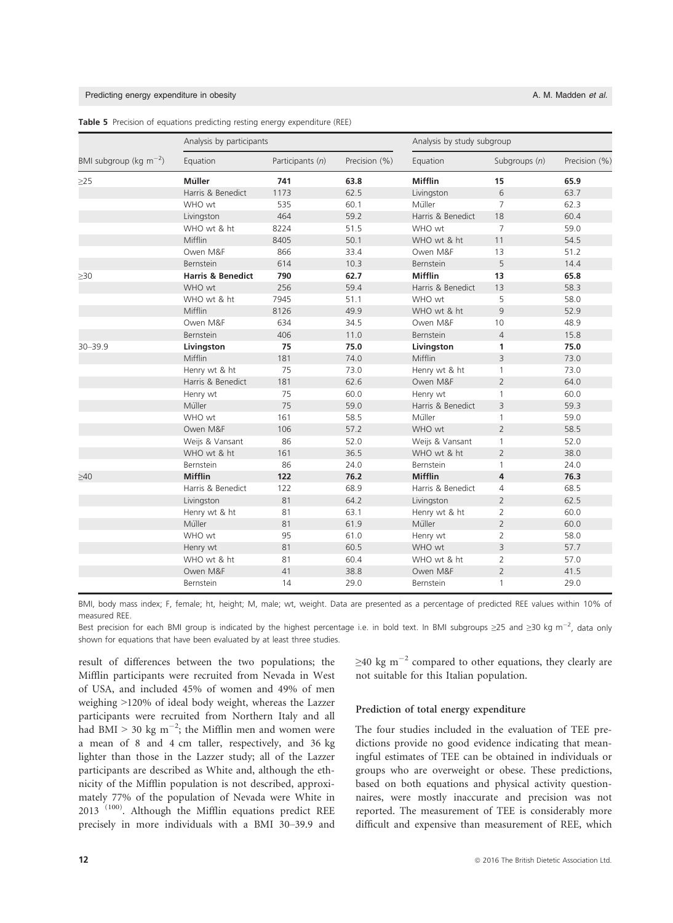### Predicting energy expenditure in obesity A. M. Madden et al.

|                             | Analysis by participants     |                  |               | Analysis by study subgroup |                 |               |
|-----------------------------|------------------------------|------------------|---------------|----------------------------|-----------------|---------------|
| BMI subgroup (kg $m^{-2}$ ) | Equation                     | Participants (n) | Precision (%) | Equation                   | Subgroups $(n)$ | Precision (%) |
| $\geq$ 25                   | Müller                       | 741              | 63.8          | <b>Mifflin</b>             | 15              | 65.9          |
|                             | Harris & Benedict            | 1173             | 62.5          | Livingston                 | 6               | 63.7          |
|                             | WHO wt                       | 535              | 60.1          | Müller                     | $\overline{7}$  | 62.3          |
|                             | Livingston                   | 464              | 59.2          | Harris & Benedict          | 18              | 60.4          |
|                             | WHO wt & ht                  | 8224             | 51.5          | WHO wt                     | $\overline{7}$  | 59.0          |
|                             | Mifflin                      | 8405             | 50.1          | WHO wt & ht                | 11              | 54.5          |
|                             | Owen M&F                     | 866              | 33.4          | Owen M&F                   | 13              | 51.2          |
|                             | Bernstein                    | 614              | 10.3          | Bernstein                  | 5               | 14.4          |
| $\geq 30$                   | <b>Harris &amp; Benedict</b> | 790              | 62.7          | <b>Mifflin</b>             | 13              | 65.8          |
|                             | WHO wt                       | 256              | 59.4          | Harris & Benedict          | 13              | 58.3          |
|                             | WHO wt & ht                  | 7945             | 51.1          | WHO wt                     | 5               | 58.0          |
|                             | Mifflin                      | 8126             | 49.9          | WHO wt & ht                | $\overline{9}$  | 52.9          |
|                             | Owen M&F                     | 634              | 34.5          | Owen M&F                   | 10              | 48.9          |
|                             | Bernstein                    | 406              | 11.0          | Bernstein                  | $\overline{4}$  | 15.8          |
| $30 - 39.9$                 | Livingston                   | 75               | 75.0          | Livingston                 | $\mathbf{1}$    | 75.0          |
|                             | Mifflin                      | 181              | 74.0          | Mifflin                    | 3               | 73.0          |
|                             | Henry wt & ht                | 75               | 73.0          | Henry wt & ht              | $\mathbf{1}$    | 73.0          |
|                             | Harris & Benedict            | 181              | 62.6          | Owen M&F                   | $\overline{2}$  | 64.0          |
|                             | Henry wt                     | 75               | 60.0          | Henry wt                   | $\mathbf{1}$    | 60.0          |
|                             | Müller                       | 75               | 59.0          | Harris & Benedict          | $\overline{3}$  | 59.3          |
|                             | WHO wt                       | 161              | 58.5          | Müller                     | $\mathbf{1}$    | 59.0          |
|                             | Owen M&F                     | 106              | 57.2          | WHO wt                     | $\overline{2}$  | 58.5          |
|                             | Weijs & Vansant              | 86               | 52.0          | Weijs & Vansant            | $\mathbf{1}$    | 52.0          |
|                             | WHO wt & ht                  | 161              | 36.5          | WHO wt & ht                | $\overline{2}$  | 38.0          |
|                             | Bernstein                    | 86               | 24.0          | Bernstein                  | $\mathbf{1}$    | 24.0          |
| $\geq 40$                   | <b>Mifflin</b>               | 122              | 76.2          | <b>Mifflin</b>             | $\overline{4}$  | 76.3          |
|                             | Harris & Benedict            | 122              | 68.9          | Harris & Benedict          | $\overline{4}$  | 68.5          |
|                             | Livingston                   | 81               | 64.2          | Livingston                 | $\overline{2}$  | 62.5          |
|                             | Henry wt & ht                | 81               | 63.1          | Henry wt & ht              | $\overline{2}$  | 60.0          |
|                             | Müller                       | 81               | 61.9          | Müller                     | $\overline{2}$  | 60.0          |
|                             | WHO wt                       | 95               | 61.0          | Henry wt                   | $\overline{2}$  | 58.0          |
|                             | Henry wt                     | 81               | 60.5          | WHO wt                     | $\overline{3}$  | 57.7          |
|                             | WHO wt & ht                  | 81               | 60.4          | WHO wt & ht                | 2               | 57.0          |
|                             | Owen M&F                     | 41               | 38.8          | Owen M&F                   | $\overline{2}$  | 41.5          |
|                             | Bernstein                    | 14               | 29.0          | Bernstein                  | 1               | 29.0          |

Table 5 Precision of equations predicting resting energy expenditure (REE)

BMI, body mass index; F, female; ht, height; M, male; wt, weight. Data are presented as a percentage of predicted REE values within 10% of measured REE.

Best precision for each BMI group is indicated by the highest percentage i.e. in bold text. In BMI subgroups  $\geq$ 25 and  $\geq$ 30 kg m $^{-2}$ , data only shown for equations that have been evaluated by at least three studies.

result of differences between the two populations; the Mifflin participants were recruited from Nevada in West of USA, and included 45% of women and 49% of men weighing >120% of ideal body weight, whereas the Lazzer participants were recruited from Northern Italy and all had BMI > 30 kg m<sup>-2</sup>; the Mifflin men and women were a mean of 8 and 4 cm taller, respectively, and 36 kg lighter than those in the Lazzer study; all of the Lazzer participants are described as White and, although the ethnicity of the Mifflin population is not described, approximately 77% of the population of Nevada were White in 2013 (100). Although the Mifflin equations predict REE precisely in more individuals with a BMI 30–39.9 and  $\geq$ 40 kg m<sup>-2</sup> compared to other equations, they clearly are not suitable for this Italian population.

### Prediction of total energy expenditure

The four studies included in the evaluation of TEE predictions provide no good evidence indicating that meaningful estimates of TEE can be obtained in individuals or groups who are overweight or obese. These predictions, based on both equations and physical activity questionnaires, were mostly inaccurate and precision was not reported. The measurement of TEE is considerably more difficult and expensive than measurement of REE, which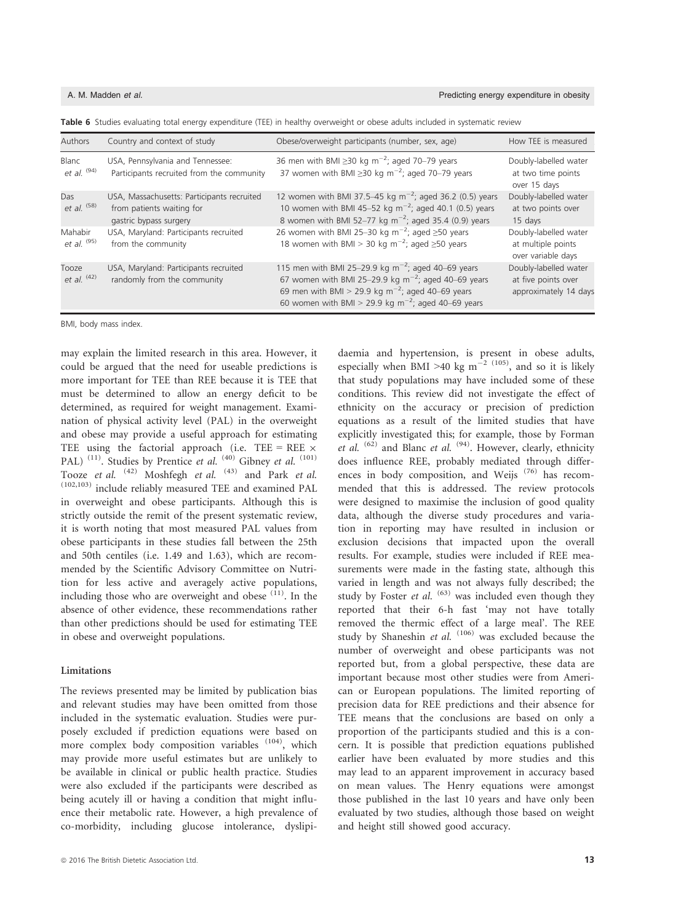|  |  |  | Table 6 Studies evaluating total energy expenditure (TEE) in healthy overweight or obese adults included in systematic review |
|--|--|--|-------------------------------------------------------------------------------------------------------------------------------|
|--|--|--|-------------------------------------------------------------------------------------------------------------------------------|

| Authors                | Country and context of study                                                                      | Obese/overweight participants (number, sex, age)                                                                                                                                                                                                             | How TEE is measured                                                   |
|------------------------|---------------------------------------------------------------------------------------------------|--------------------------------------------------------------------------------------------------------------------------------------------------------------------------------------------------------------------------------------------------------------|-----------------------------------------------------------------------|
| Blanc<br>et al. $(94)$ | USA, Pennsylvania and Tennessee:<br>Participants recruited from the community                     | 36 men with BMI $\geq$ 30 kg m <sup>-2</sup> ; aged 70–79 years<br>37 women with BMI $\geq$ 30 kg m <sup>-2</sup> ; aged 70-79 years                                                                                                                         | Doubly-labelled water<br>at two time points<br>over 15 days           |
| Das<br>et al. $(58)$   | USA, Massachusetts: Participants recruited<br>from patients waiting for<br>gastric bypass surgery | 12 women with BMI 37.5-45 kg $m^{-2}$ ; aged 36.2 (0.5) years<br>10 women with BMI 45-52 kg m <sup>-2</sup> ; aged 40.1 (0.5) years<br>8 women with BMI 52-77 kg $m^{-2}$ ; aged 35.4 (0.9) years                                                            | Doubly-labelled water<br>at two points over<br>15 days                |
| Mahabir<br>et al. (95) | USA, Maryland: Participants recruited<br>from the community                                       | 26 women with BMI 25-30 kg $m^{-2}$ ; aged $\geq$ 50 years<br>18 women with BMI > 30 kg m <sup>-2</sup> ; aged $\geq$ 50 years                                                                                                                               | Doubly-labelled water<br>at multiple points<br>over variable days     |
| Tooze<br>et al. $(42)$ | USA, Maryland: Participants recruited<br>randomly from the community                              | 115 men with BMI 25-29.9 kg $m^{-2}$ ; aged 40-69 years<br>67 women with BMI 25-29.9 kg $\text{m}^{-2}$ ; aged 40-69 years<br>69 men with BMI > 29.9 kg m <sup>-2</sup> ; aged 40-69 years<br>60 women with BMI > 29.9 kg m <sup>-2</sup> ; aged 40-69 years | Doubly-labelled water<br>at five points over<br>approximately 14 days |

BMI, body mass index.

may explain the limited research in this area. However, it could be argued that the need for useable predictions is more important for TEE than REE because it is TEE that must be determined to allow an energy deficit to be determined, as required for weight management. Examination of physical activity level (PAL) in the overweight and obese may provide a useful approach for estimating TEE using the factorial approach (i.e. TEE = REE  $\times$ PAL)<sup>(11)</sup>. Studies by Prentice *et al.* <sup>(40)</sup> Gibney *et al.* <sup>(101)</sup> Tooze et al.  $(42)$  Moshfegh et al.  $(43)$  and Park et al. (102,103) include reliably measured TEE and examined PAL in overweight and obese participants. Although this is strictly outside the remit of the present systematic review, it is worth noting that most measured PAL values from obese participants in these studies fall between the 25th and 50th centiles (i.e. 1.49 and 1.63), which are recommended by the Scientific Advisory Committee on Nutrition for less active and averagely active populations, including those who are overweight and obese <sup>(11)</sup>. In the absence of other evidence, these recommendations rather than other predictions should be used for estimating TEE in obese and overweight populations.

### Limitations

The reviews presented may be limited by publication bias and relevant studies may have been omitted from those included in the systematic evaluation. Studies were purposely excluded if prediction equations were based on more complex body composition variables <sup>(104)</sup>, which may provide more useful estimates but are unlikely to be available in clinical or public health practice. Studies were also excluded if the participants were described as being acutely ill or having a condition that might influence their metabolic rate. However, a high prevalence of co-morbidity, including glucose intolerance, dyslipidaemia and hypertension, is present in obese adults, especially when BMI >40 kg m<sup>-2 (105)</sup>, and so it is likely that study populations may have included some of these conditions. This review did not investigate the effect of ethnicity on the accuracy or precision of prediction equations as a result of the limited studies that have explicitly investigated this; for example, those by Forman et al.  $(62)$  and Blanc et al.  $(94)$ . However, clearly, ethnicity does influence REE, probably mediated through differences in body composition, and Weijs<sup>(76)</sup> has recommended that this is addressed. The review protocols were designed to maximise the inclusion of good quality data, although the diverse study procedures and variation in reporting may have resulted in inclusion or exclusion decisions that impacted upon the overall results. For example, studies were included if REE measurements were made in the fasting state, although this varied in length and was not always fully described; the study by Foster et al.  $(63)$  was included even though they reported that their 6-h fast 'may not have totally removed the thermic effect of a large meal'. The REE study by Shaneshin et al.  $(106)$  was excluded because the number of overweight and obese participants was not reported but, from a global perspective, these data are important because most other studies were from American or European populations. The limited reporting of precision data for REE predictions and their absence for TEE means that the conclusions are based on only a proportion of the participants studied and this is a concern. It is possible that prediction equations published earlier have been evaluated by more studies and this may lead to an apparent improvement in accuracy based on mean values. The Henry equations were amongst those published in the last 10 years and have only been evaluated by two studies, although those based on weight and height still showed good accuracy.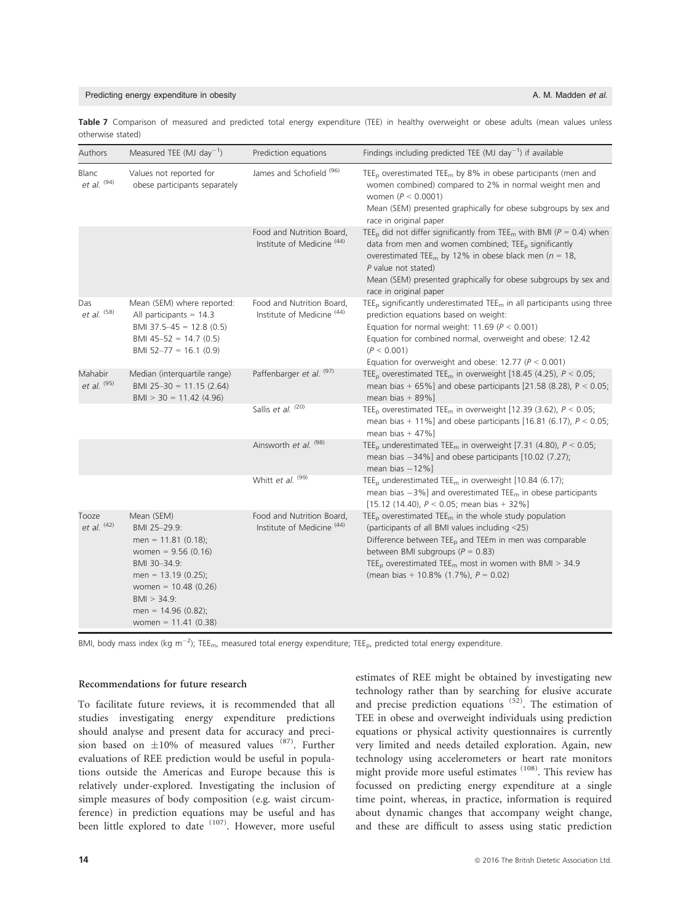### Predicting energy expenditure in obesity A. M. Madden et al. A. M. Madden et al.

Table 7 Comparison of measured and predicted total energy expenditure (TEE) in healthy overweight or obese adults (mean values unless otherwise stated)

| Authors                | Measured TEE (MJ day <sup>-1</sup> )                                                                                                                                                                               | Prediction equations                                               | Findings including predicted TEE (MJ day <sup>-1</sup> ) if available                                                                                                                                                                                                                                                                                                         |
|------------------------|--------------------------------------------------------------------------------------------------------------------------------------------------------------------------------------------------------------------|--------------------------------------------------------------------|-------------------------------------------------------------------------------------------------------------------------------------------------------------------------------------------------------------------------------------------------------------------------------------------------------------------------------------------------------------------------------|
| Blanc<br>et al. $(94)$ | Values not reported for<br>obese participants separately                                                                                                                                                           | James and Schofield <sup>(96)</sup>                                | $\mathsf{TEE}_p$ overestimated $\mathsf{TEE}_m$ by 8% in obese participants (men and<br>women combined) compared to 2% in normal weight men and<br>women ( $P < 0.0001$ )<br>Mean (SEM) presented graphically for obese subgroups by sex and<br>race in original paper                                                                                                        |
|                        |                                                                                                                                                                                                                    | Food and Nutrition Board,<br>Institute of Medicine <sup>(44)</sup> | TEE <sub>p</sub> did not differ significantly from TEE <sub>m</sub> with BMI ( $P = 0.4$ ) when<br>data from men and women combined; TEE <sub>p</sub> significantly<br>overestimated TEE <sub>m</sub> by 12% in obese black men ( $n = 18$ ,<br>P value not stated)<br>Mean (SEM) presented graphically for obese subgroups by sex and<br>race in original paper              |
| Das<br>et al. $(58)$   | Mean (SEM) where reported:<br>All participants = $14.3$<br>BMI 37.5-45 = 12.8 (0.5)<br>BMI 45-52 = 14.7 (0.5)<br>BMI 52-77 = 16.1 (0.9)                                                                            | Food and Nutrition Board,<br>Institute of Medicine <sup>(44)</sup> | $\mathsf{TEE}_p$ significantly underestimated $\mathsf{TEE}_m$ in all participants using three<br>prediction equations based on weight:<br>Equation for normal weight: 11.69 ( $P < 0.001$ )<br>Equation for combined normal, overweight and obese: 12.42<br>(P < 0.001)<br>Equation for overweight and obese: 12.77 ( $P < 0.001$ )                                          |
| Mahabir<br>et al. (95) | Median (interquartile range)<br>BMI 25-30 = 11.15 (2.64)<br>$BMI > 30 = 11.42$ (4.96)                                                                                                                              | Paffenbarger et al. (97)                                           | TEE <sub>p</sub> overestimated TEE <sub>m</sub> in overweight [18.45 (4.25), $P < 0.05$ ;<br>mean bias + 65%] and obese participants [21.58 (8.28), $P < 0.05$ ;<br>mean bias $+89\%$ ]                                                                                                                                                                                       |
|                        |                                                                                                                                                                                                                    | Sallis et al. (20)                                                 | TEE <sub>p</sub> overestimated TEE <sub>m</sub> in overweight [12.39 (3.62), $P < 0.05$ ;<br>mean bias + 11%] and obese participants [16.81 (6.17), $P < 0.05$ ;<br>mean bias $+47\%$ ]                                                                                                                                                                                       |
|                        |                                                                                                                                                                                                                    | Ainsworth et al. (98)                                              | TEE <sub>p</sub> underestimated TEE <sub>m</sub> in overweight [7.31 (4.80), $P < 0.05$ ;<br>mean bias $-34\%$ ] and obese participants [10.02 (7.27);<br>mean bias $-12\%$ ]                                                                                                                                                                                                 |
|                        |                                                                                                                                                                                                                    | Whitt et al. (99)                                                  | TEE <sub>p</sub> underestimated TEE <sub>m</sub> in overweight [10.84 (6.17);<br>mean bias $-3\%$ ] and overestimated TEE <sub>m</sub> in obese participants<br>[15.12 (14.40), $P < 0.05$ ; mean bias + 32%]                                                                                                                                                                 |
| Tooze<br>et al. $(42)$ | Mean (SEM)<br>BMI 25-29.9:<br>men = $11.81$ (0.18);<br>women = $9.56(0.16)$<br>BMI 30-34.9:<br>men = $13.19$ (0.25);<br>women = $10.48$ (0.26)<br>$BM > 34.9$ :<br>men = $14.96$ (0.82);<br>women = $11.41$ (0.38) | Food and Nutrition Board,<br>Institute of Medicine <sup>(44)</sup> | $\mathsf{TEE}_p$ overestimated $\mathsf{TEE}_m$ in the whole study population<br>(participants of all BMI values including <25)<br>Difference between TEE <sub>p</sub> and TEEm in men was comparable<br>between BMI subgroups ( $P = 0.83$ )<br>TEE <sub>p</sub> overestimated TEE <sub>m</sub> most in women with BMI > 34.9<br>(mean bias + 10.8% $(1.7\%)$ , $P = 0.02$ ) |

BMI, body mass index (kg m<sup>-2</sup>); TEE<sub>m</sub>, measured total energy expenditure; TEE<sub>p</sub>, predicted total energy expenditure.

## Recommendations for future research

To facilitate future reviews, it is recommended that all studies investigating energy expenditure predictions should analyse and present data for accuracy and precision based on  $\pm 10\%$  of measured values (87). Further evaluations of REE prediction would be useful in populations outside the Americas and Europe because this is relatively under-explored. Investigating the inclusion of simple measures of body composition (e.g. waist circumference) in prediction equations may be useful and has been little explored to date <sup>(107)</sup>. However, more useful

estimates of REE might be obtained by investigating new technology rather than by searching for elusive accurate and precise prediction equations  $(52)$ . The estimation of TEE in obese and overweight individuals using prediction equations or physical activity questionnaires is currently very limited and needs detailed exploration. Again, new technology using accelerometers or heart rate monitors might provide more useful estimates  $(108)$ . This review has focussed on predicting energy expenditure at a single time point, whereas, in practice, information is required about dynamic changes that accompany weight change, and these are difficult to assess using static prediction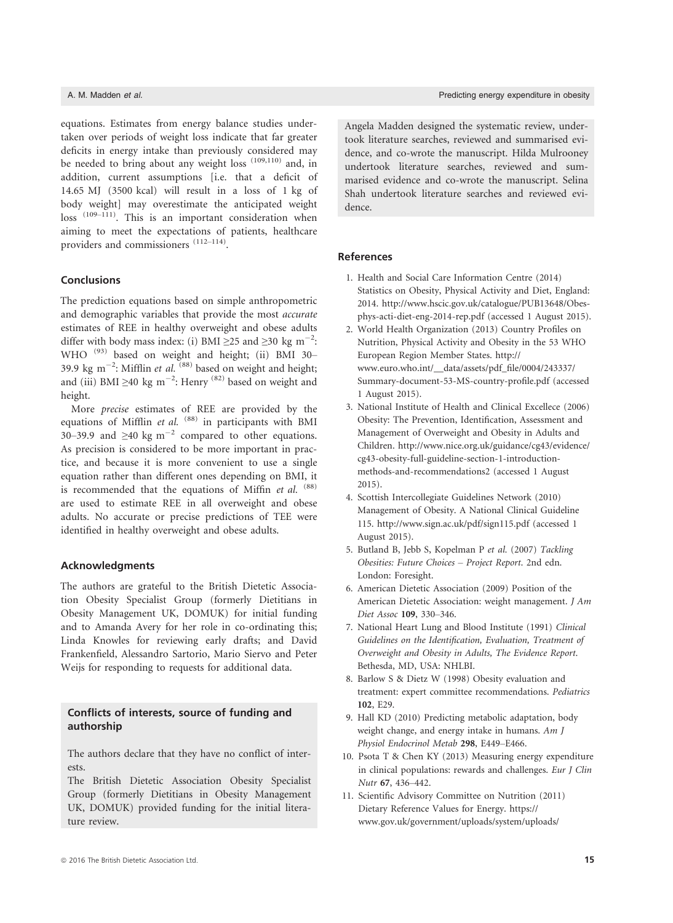equations. Estimates from energy balance studies undertaken over periods of weight loss indicate that far greater deficits in energy intake than previously considered may be needed to bring about any weight loss (109,110) and, in addition, current assumptions [i.e. that a deficit of 14.65 MJ (3500 kcal) will result in a loss of 1 kg of body weight] may overestimate the anticipated weight loss (109–111). This is an important consideration when aiming to meet the expectations of patients, healthcare providers and commissioners (112–114).

# Conclusions

The prediction equations based on simple anthropometric and demographic variables that provide the most accurate estimates of REE in healthy overweight and obese adults differ with body mass index: (i) BMI  $\geq$ 25 and  $\geq$ 30 kg m<sup>-2</sup>: WHO<sup>(93)</sup> based on weight and height; (ii) BMI 30-39.9 kg m<sup>-2</sup>: Mifflin et al.  $(88)$  based on weight and height; and (iii) BMI  $\geq$ 40 kg m<sup>-2</sup>: Henry<sup>(82)</sup> based on weight and height.

More precise estimates of REE are provided by the equations of Mifflin et al.  $(88)$  in participants with BMI 30–39.9 and  $\geq 40$  kg m<sup>-2</sup> compared to other equations. As precision is considered to be more important in practice, and because it is more convenient to use a single equation rather than different ones depending on BMI, it is recommended that the equations of Miffin *et al.*  $(88)$ are used to estimate REE in all overweight and obese adults. No accurate or precise predictions of TEE were identified in healthy overweight and obese adults.

### Acknowledgments

The authors are grateful to the British Dietetic Association Obesity Specialist Group (formerly Dietitians in Obesity Management UK, DOMUK) for initial funding and to Amanda Avery for her role in co-ordinating this; Linda Knowles for reviewing early drafts; and David Frankenfield, Alessandro Sartorio, Mario Siervo and Peter Weijs for responding to requests for additional data.

# Conflicts of interests, source of funding and authorship

The authors declare that they have no conflict of interests.

The British Dietetic Association Obesity Specialist Group (formerly Dietitians in Obesity Management UK, DOMUK) provided funding for the initial literature review.

Angela Madden designed the systematic review, undertook literature searches, reviewed and summarised evidence, and co-wrote the manuscript. Hilda Mulrooney undertook literature searches, reviewed and summarised evidence and co-wrote the manuscript. Selina Shah undertook literature searches and reviewed evidence.

# References

- 1. Health and Social Care Information Centre (2014) Statistics on Obesity, Physical Activity and Diet, England: 2014. [http://www.hscic.gov.uk/catalogue/PUB13648/Obes](http://www.hscic.gov.uk/catalogue/PUB13648/Obes-phys-acti-diet-eng-2014-rep.pdf)[phys-acti-diet-eng-2014-rep.pdf](http://www.hscic.gov.uk/catalogue/PUB13648/Obes-phys-acti-diet-eng-2014-rep.pdf) (accessed 1 August 2015).
- 2. World Health Organization (2013) Country Profiles on Nutrition, Physical Activity and Obesity in the 53 WHO European Region Member States. [http://](http://www.euro.who.int/__data/assets/pdf_file/0004/243337/Summary-document-53-MS-country-profile.pdf) [www.euro.who.int/\\_\\_data/assets/pdf\\_file/0004/243337/](http://www.euro.who.int/__data/assets/pdf_file/0004/243337/Summary-document-53-MS-country-profile.pdf) [Summary-document-53-MS-country-profile.pdf](http://www.euro.who.int/__data/assets/pdf_file/0004/243337/Summary-document-53-MS-country-profile.pdf) (accessed 1 August 2015).
- 3. National Institute of Health and Clinical Excellece (2006) Obesity: The Prevention, Identification, Assessment and Management of Overweight and Obesity in Adults and Children. [http://www.nice.org.uk/guidance/cg43/evidence/](http://www.nice.org.uk/guidance/cg43/evidence/cg43-obesity-full-guideline-section-1-introduction-methods-and-recommendations2) [cg43-obesity-full-guideline-section-1-introduction](http://www.nice.org.uk/guidance/cg43/evidence/cg43-obesity-full-guideline-section-1-introduction-methods-and-recommendations2)[methods-and-recommendations2](http://www.nice.org.uk/guidance/cg43/evidence/cg43-obesity-full-guideline-section-1-introduction-methods-and-recommendations2) (accessed 1 August 2015).
- 4. Scottish Intercollegiate Guidelines Network (2010) Management of Obesity. A National Clinical Guideline 115.<http://www.sign.ac.uk/pdf/sign115.pdf> (accessed 1 August 2015).
- 5. Butland B, Jebb S, Kopelman P et al. (2007) Tackling Obesities: Future Choices – Project Report. 2nd edn. London: Foresight.
- 6. American Dietetic Association (2009) Position of the American Dietetic Association: weight management. J Am Diet Assoc 109, 330–346.
- 7. National Heart Lung and Blood Institute (1991) Clinical Guidelines on the Identification, Evaluation, Treatment of Overweight and Obesity in Adults, The Evidence Report. Bethesda, MD, USA: NHLBI.
- 8. Barlow S & Dietz W (1998) Obesity evaluation and treatment: expert committee recommendations. Pediatrics 102, E29.
- 9. Hall KD (2010) Predicting metabolic adaptation, body weight change, and energy intake in humans. Am J Physiol Endocrinol Metab 298, E449–E466.
- 10. Psota T & Chen KY (2013) Measuring energy expenditure in clinical populations: rewards and challenges. Eur J Clin Nutr 67, 436–442.
- 11. Scientific Advisory Committee on Nutrition (2011) Dietary Reference Values for Energy. [https://](https://www.gov.uk/government/uploads/system/uploads/attachment_data/file/339317/SACN_Dietary_Reference_Values_for_Energy.pdf) [www.gov.uk/government/uploads/system/uploads/](https://www.gov.uk/government/uploads/system/uploads/attachment_data/file/339317/SACN_Dietary_Reference_Values_for_Energy.pdf)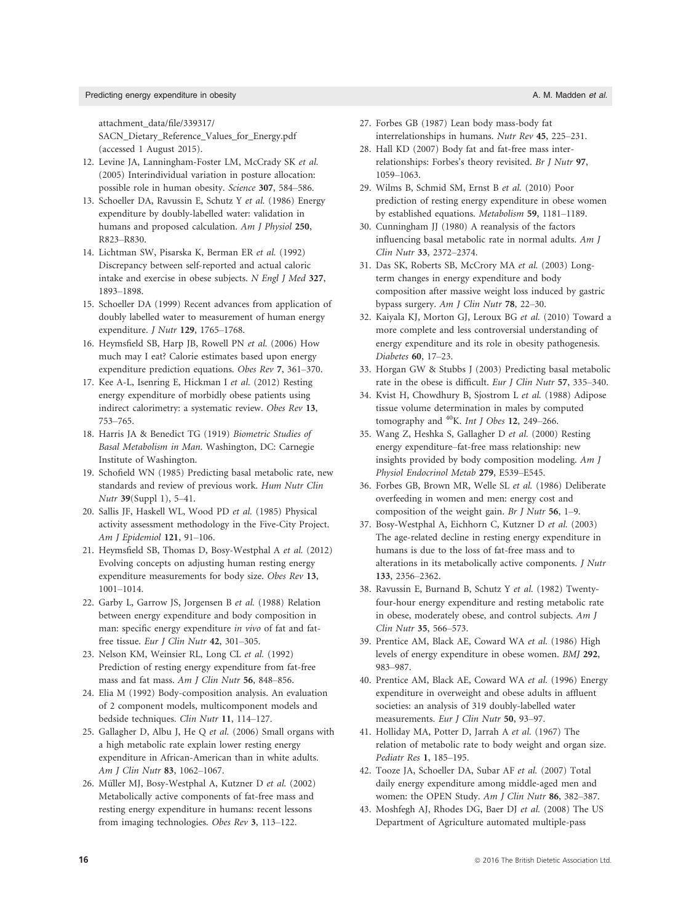### Predicting energy expenditure in obesity A. M. Madden et al.

[attachment\\_data/file/339317/](https://www.gov.uk/government/uploads/system/uploads/attachment_data/file/339317/SACN_Dietary_Reference_Values_for_Energy.pdf) [SACN\\_Dietary\\_Reference\\_Values\\_for\\_Energy.pdf](https://www.gov.uk/government/uploads/system/uploads/attachment_data/file/339317/SACN_Dietary_Reference_Values_for_Energy.pdf) (accessed 1 August 2015).

- 12. Levine JA, Lanningham-Foster LM, McCrady SK et al. (2005) Interindividual variation in posture allocation: possible role in human obesity. Science 307, 584–586.
- 13. Schoeller DA, Ravussin E, Schutz Y et al. (1986) Energy expenditure by doubly-labelled water: validation in humans and proposed calculation. Am J Physiol 250, R823–R830.
- 14. Lichtman SW, Pisarska K, Berman ER et al. (1992) Discrepancy between self-reported and actual caloric intake and exercise in obese subjects. N Engl J Med 327, 1893–1898.
- 15. Schoeller DA (1999) Recent advances from application of doubly labelled water to measurement of human energy expenditure. J Nutr 129, 1765–1768.
- 16. Heymsfield SB, Harp JB, Rowell PN et al. (2006) How much may I eat? Calorie estimates based upon energy expenditure prediction equations. Obes Rev 7, 361–370.
- 17. Kee A-L, Isenring E, Hickman I et al. (2012) Resting energy expenditure of morbidly obese patients using indirect calorimetry: a systematic review. Obes Rev 13, 753–765.
- 18. Harris JA & Benedict TG (1919) Biometric Studies of Basal Metabolism in Man. Washington, DC: Carnegie Institute of Washington.
- 19. Schofield WN (1985) Predicting basal metabolic rate, new standards and review of previous work. Hum Nutr Clin Nutr 39(Suppl 1), 5–41.
- 20. Sallis JF, Haskell WL, Wood PD et al. (1985) Physical activity assessment methodology in the Five-City Project. Am J Epidemiol 121, 91–106.
- 21. Heymsfield SB, Thomas D, Bosy-Westphal A et al. (2012) Evolving concepts on adjusting human resting energy expenditure measurements for body size. Obes Rev 13, 1001–1014.
- 22. Garby L, Garrow JS, Jorgensen B et al. (1988) Relation between energy expenditure and body composition in man: specific energy expenditure in vivo of fat and fatfree tissue. Eur J Clin Nutr 42, 301-305.
- 23. Nelson KM, Weinsier RL, Long CL et al. (1992) Prediction of resting energy expenditure from fat-free mass and fat mass. Am J Clin Nutr 56, 848–856.
- 24. Elia M (1992) Body-composition analysis. An evaluation of 2 component models, multicomponent models and bedside techniques. Clin Nutr 11, 114–127.
- 25. Gallagher D, Albu J, He Q et al. (2006) Small organs with a high metabolic rate explain lower resting energy expenditure in African-American than in white adults. Am J Clin Nutr 83, 1062–1067.
- 26. Müller MJ, Bosy-Westphal A, Kutzner D et al. (2002) Metabolically active components of fat-free mass and resting energy expenditure in humans: recent lessons from imaging technologies. Obes Rev 3, 113–122.
- 27. Forbes GB (1987) Lean body mass-body fat interrelationships in humans. Nutr Rev 45, 225–231.
- 28. Hall KD (2007) Body fat and fat-free mass interrelationships: Forbes's theory revisited. Br J Nutr 97, 1059–1063.
- 29. Wilms B, Schmid SM, Ernst B et al. (2010) Poor prediction of resting energy expenditure in obese women by established equations. Metabolism 59, 1181–1189.
- 30. Cunningham JJ (1980) A reanalysis of the factors influencing basal metabolic rate in normal adults. Am J Clin Nutr 33, 2372–2374.
- 31. Das SK, Roberts SB, McCrory MA et al. (2003) Longterm changes in energy expenditure and body composition after massive weight loss induced by gastric bypass surgery. Am J Clin Nutr 78, 22–30.
- 32. Kaiyala KJ, Morton GJ, Leroux BG et al. (2010) Toward a more complete and less controversial understanding of energy expenditure and its role in obesity pathogenesis. Diabetes 60, 17–23.
- 33. Horgan GW & Stubbs J (2003) Predicting basal metabolic rate in the obese is difficult. Eur J Clin Nutr 57, 335–340.
- 34. Kvist H, Chowdhury B, Sjostrom L et al. (1988) Adipose tissue volume determination in males by computed tomography and  $^{40}$ K. Int J Obes 12, 249–266.
- 35. Wang Z, Heshka S, Gallagher D et al. (2000) Resting energy expenditure–fat-free mass relationship: new insights provided by body composition modeling. Am J Physiol Endocrinol Metab 279, E539–E545.
- 36. Forbes GB, Brown MR, Welle SL et al. (1986) Deliberate overfeeding in women and men: energy cost and composition of the weight gain. Br J Nutr 56, 1–9.
- 37. Bosy-Westphal A, Eichhorn C, Kutzner D et al. (2003) The age-related decline in resting energy expenditure in humans is due to the loss of fat-free mass and to alterations in its metabolically active components. J Nutr 133, 2356–2362.
- 38. Ravussin E, Burnand B, Schutz Y et al. (1982) Twentyfour-hour energy expenditure and resting metabolic rate in obese, moderately obese, and control subjects. Am J Clin Nutr 35, 566–573.
- 39. Prentice AM, Black AE, Coward WA et al. (1986) High levels of energy expenditure in obese women. BMJ 292, 983–987.
- 40. Prentice AM, Black AE, Coward WA et al. (1996) Energy expenditure in overweight and obese adults in affluent societies: an analysis of 319 doubly-labelled water measurements. Eur J Clin Nutr 50, 93-97.
- 41. Holliday MA, Potter D, Jarrah A et al. (1967) The relation of metabolic rate to body weight and organ size. Pediatr Res 1, 185–195.
- 42. Tooze JA, Schoeller DA, Subar AF et al. (2007) Total daily energy expenditure among middle-aged men and women: the OPEN Study. Am J Clin Nutr 86, 382–387.
- 43. Moshfegh AJ, Rhodes DG, Baer DJ et al. (2008) The US Department of Agriculture automated multiple-pass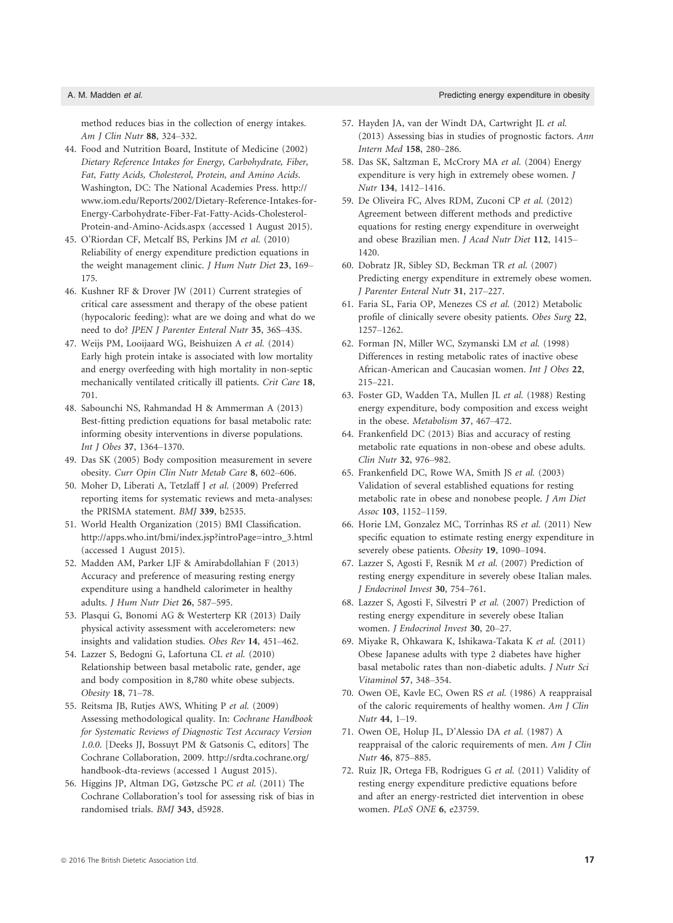method reduces bias in the collection of energy intakes. Am J Clin Nutr 88, 324–332.

- 44. Food and Nutrition Board, Institute of Medicine (2002) Dietary Reference Intakes for Energy, Carbohydrate, Fiber, Fat, Fatty Acids, Cholesterol, Protein, and Amino Acids. Washington, DC: The National Academies Press. [http://](http://www.iom.edu/Reports/2002/Dietary-Reference-Intakes-for-Energy-Carbohydrate-Fiber-Fat-Fatty-Acids-Cholesterol-Protein-and-Amino-Acids.aspx) [www.iom.edu/Reports/2002/Dietary-Reference-Intakes-for-](http://www.iom.edu/Reports/2002/Dietary-Reference-Intakes-for-Energy-Carbohydrate-Fiber-Fat-Fatty-Acids-Cholesterol-Protein-and-Amino-Acids.aspx)[Energy-Carbohydrate-Fiber-Fat-Fatty-Acids-Cholesterol-](http://www.iom.edu/Reports/2002/Dietary-Reference-Intakes-for-Energy-Carbohydrate-Fiber-Fat-Fatty-Acids-Cholesterol-Protein-and-Amino-Acids.aspx)[Protein-and-Amino-Acids.aspx](http://www.iom.edu/Reports/2002/Dietary-Reference-Intakes-for-Energy-Carbohydrate-Fiber-Fat-Fatty-Acids-Cholesterol-Protein-and-Amino-Acids.aspx) (accessed 1 August 2015).
- 45. O'Riordan CF, Metcalf BS, Perkins JM et al. (2010) Reliability of energy expenditure prediction equations in the weight management clinic. J Hum Nutr Diet 23, 169-175.
- 46. Kushner RF & Drover JW (2011) Current strategies of critical care assessment and therapy of the obese patient (hypocaloric feeding): what are we doing and what do we need to do? JPEN J Parenter Enteral Nutr 35, 36S–43S.
- 47. Weijs PM, Looijaard WG, Beishuizen A et al. (2014) Early high protein intake is associated with low mortality and energy overfeeding with high mortality in non-septic mechanically ventilated critically ill patients. Crit Care 18, 701.
- 48. Sabounchi NS, Rahmandad H & Ammerman A (2013) Best-fitting prediction equations for basal metabolic rate: informing obesity interventions in diverse populations. Int J Obes 37, 1364–1370.
- 49. Das SK (2005) Body composition measurement in severe obesity. Curr Opin Clin Nutr Metab Care 8, 602–606.
- 50. Moher D, Liberati A, Tetzlaff J et al. (2009) Preferred reporting items for systematic reviews and meta-analyses: the PRISMA statement. BMJ 339, b2535.
- 51. World Health Organization (2015) BMI Classification. [http://apps.who.int/bmi/index.jsp?introPage=intro\\_3.html](http://apps.who.int/bmi/index.jsp?introPage=intro_3.html) (accessed 1 August 2015).
- 52. Madden AM, Parker LJF & Amirabdollahian F (2013) Accuracy and preference of measuring resting energy expenditure using a handheld calorimeter in healthy adults. J Hum Nutr Diet 26, 587–595.
- 53. Plasqui G, Bonomi AG & Westerterp KR (2013) Daily physical activity assessment with accelerometers: new insights and validation studies. Obes Rev 14, 451–462.
- 54. Lazzer S, Bedogni G, Lafortuna CL et al. (2010) Relationship between basal metabolic rate, gender, age and body composition in 8,780 white obese subjects. Obesity 18, 71–78.
- 55. Reitsma JB, Rutjes AWS, Whiting P et al. (2009) Assessing methodological quality. In: Cochrane Handbook for Systematic Reviews of Diagnostic Test Accuracy Version 1.0.0. [Deeks JJ, Bossuyt PM & Gatsonis C, editors] The Cochrane Collaboration, 2009. [http://srdta.cochrane.org/](http://srdta.cochrane.org/handbook-dta-reviews) [handbook-dta-reviews](http://srdta.cochrane.org/handbook-dta-reviews) (accessed 1 August 2015).
- 56. Higgins JP, Altman DG, Gøtzsche PC et al. (2011) The Cochrane Collaboration's tool for assessing risk of bias in randomised trials. BMJ 343, d5928.
- 57. Hayden JA, van der Windt DA, Cartwright JL et al. (2013) Assessing bias in studies of prognostic factors. Ann Intern Med 158, 280–286.
- 58. Das SK, Saltzman E, McCrory MA et al. (2004) Energy expenditure is very high in extremely obese women. J Nutr 134, 1412–1416.
- 59. De Oliveira FC, Alves RDM, Zuconi CP et al. (2012) Agreement between different methods and predictive equations for resting energy expenditure in overweight and obese Brazilian men. J Acad Nutr Diet 112, 1415– 1420.
- 60. Dobratz JR, Sibley SD, Beckman TR et al. (2007) Predicting energy expenditure in extremely obese women. J Parenter Enteral Nutr 31, 217–227.
- 61. Faria SL, Faria OP, Menezes CS et al. (2012) Metabolic profile of clinically severe obesity patients. Obes Surg 22, 1257–1262.
- 62. Forman JN, Miller WC, Szymanski LM et al. (1998) Differences in resting metabolic rates of inactive obese African-American and Caucasian women. Int J Obes 22, 215–221.
- 63. Foster GD, Wadden TA, Mullen JL et al. (1988) Resting energy expenditure, body composition and excess weight in the obese. Metabolism 37, 467–472.
- 64. Frankenfield DC (2013) Bias and accuracy of resting metabolic rate equations in non-obese and obese adults. Clin Nutr 32, 976–982.
- 65. Frankenfield DC, Rowe WA, Smith JS et al. (2003) Validation of several established equations for resting metabolic rate in obese and nonobese people. J Am Diet Assoc 103, 1152–1159.
- 66. Horie LM, Gonzalez MC, Torrinhas RS et al. (2011) New specific equation to estimate resting energy expenditure in severely obese patients. Obesity 19, 1090–1094.
- 67. Lazzer S, Agosti F, Resnik M et al. (2007) Prediction of resting energy expenditure in severely obese Italian males. J Endocrinol Invest 30, 754–761.
- 68. Lazzer S, Agosti F, Silvestri P et al. (2007) Prediction of resting energy expenditure in severely obese Italian women. J Endocrinol Invest 30, 20–27.
- 69. Miyake R, Ohkawara K, Ishikawa-Takata K et al. (2011) Obese Japanese adults with type 2 diabetes have higher basal metabolic rates than non-diabetic adults. J Nutr Sci Vitaminol 57, 348–354.
- 70. Owen OE, Kavle EC, Owen RS et al. (1986) A reappraisal of the caloric requirements of healthy women. Am J Clin Nutr 44, 1–19.
- 71. Owen OE, Holup JL, D'Alessio DA et al. (1987) A reappraisal of the caloric requirements of men. Am J Clin Nutr 46, 875–885.
- 72. Ruiz JR, Ortega FB, Rodrigues G et al. (2011) Validity of resting energy expenditure predictive equations before and after an energy-restricted diet intervention in obese women. PLoS ONE 6, e23759.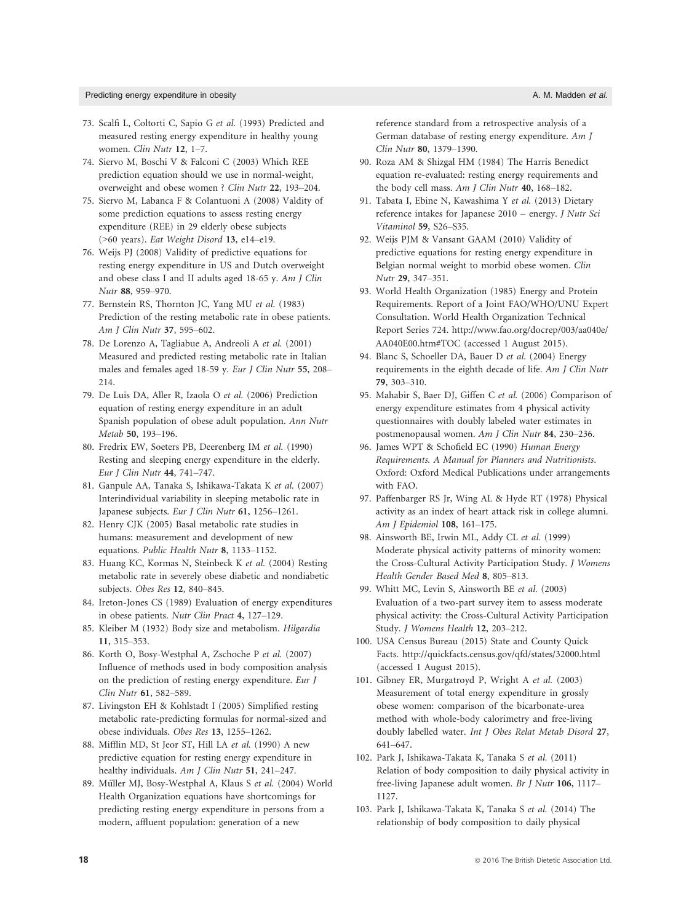- 73. Scalfi L, Coltorti C, Sapio G et al. (1993) Predicted and measured resting energy expenditure in healthy young women. Clin Nutr 12, 1–7.
- 74. Siervo M, Boschi V & Falconi C (2003) Which REE prediction equation should we use in normal-weight, overweight and obese women ? Clin Nutr 22, 193–204.
- 75. Siervo M, Labanca F & Colantuoni A (2008) Valdity of some prediction equations to assess resting energy expenditure (REE) in 29 elderly obese subjects (>60 years). Eat Weight Disord 13, e14–e19.
- 76. Weijs PJ (2008) Validity of predictive equations for resting energy expenditure in US and Dutch overweight and obese class I and II adults aged 18-65 y. Am J Clin Nutr 88, 959–970.
- 77. Bernstein RS, Thornton JC, Yang MU et al. (1983) Prediction of the resting metabolic rate in obese patients. Am J Clin Nutr 37, 595–602.
- 78. De Lorenzo A, Tagliabue A, Andreoli A et al. (2001) Measured and predicted resting metabolic rate in Italian males and females aged 18-59 y. Eur J Clin Nutr 55, 208– 214.
- 79. De Luis DA, Aller R, Izaola O et al. (2006) Prediction equation of resting energy expenditure in an adult Spanish population of obese adult population. Ann Nutr Metab 50, 193–196.
- 80. Fredrix EW, Soeters PB, Deerenberg IM et al. (1990) Resting and sleeping energy expenditure in the elderly. Eur J Clin Nutr 44, 741–747.
- 81. Ganpule AA, Tanaka S, Ishikawa-Takata K et al. (2007) Interindividual variability in sleeping metabolic rate in Japanese subjects. Eur J Clin Nutr 61, 1256–1261.
- 82. Henry CJK (2005) Basal metabolic rate studies in humans: measurement and development of new equations. Public Health Nutr 8, 1133–1152.
- 83. Huang KC, Kormas N, Steinbeck K et al. (2004) Resting metabolic rate in severely obese diabetic and nondiabetic subjects. Obes Res 12, 840–845.
- 84. Ireton-Jones CS (1989) Evaluation of energy expenditures in obese patients. Nutr Clin Pract 4, 127–129.
- 85. Kleiber M (1932) Body size and metabolism. Hilgardia 11, 315–353.
- 86. Korth O, Bosy-Westphal A, Zschoche P et al. (2007) Influence of methods used in body composition analysis on the prediction of resting energy expenditure. Eur J Clin Nutr 61, 582–589.
- 87. Livingston EH & Kohlstadt I (2005) Simplified resting metabolic rate-predicting formulas for normal-sized and obese individuals. Obes Res 13, 1255–1262.
- 88. Mifflin MD, St Jeor ST, Hill LA et al. (1990) A new predictive equation for resting energy expenditure in healthy individuals. Am J Clin Nutr 51, 241-247.
- 89. Müller MJ, Bosy-Westphal A, Klaus S et al. (2004) World Health Organization equations have shortcomings for predicting resting energy expenditure in persons from a modern, affluent population: generation of a new

reference standard from a retrospective analysis of a German database of resting energy expenditure. Am J Clin Nutr 80, 1379–1390.

- 90. Roza AM & Shizgal HM (1984) The Harris Benedict equation re-evaluated: resting energy requirements and the body cell mass. Am J Clin Nutr 40, 168–182.
- 91. Tabata I, Ebine N, Kawashima Y et al. (2013) Dietary reference intakes for Japanese 2010 – energy. J Nutr Sci Vitaminol 59, S26–S35.
- 92. Weijs PJM & Vansant GAAM (2010) Validity of predictive equations for resting energy expenditure in Belgian normal weight to morbid obese women. Clin Nutr 29, 347–351.
- 93. World Health Organization (1985) Energy and Protein Requirements. Report of a Joint FAO/WHO/UNU Expert Consultation. World Health Organization Technical Report Series 724. [http://www.fao.org/docrep/003/aa040e/](http://www.fao.org/docrep/003/aa040e/AA040E00.htm#TOC) [AA040E00.htm#TOC](http://www.fao.org/docrep/003/aa040e/AA040E00.htm#TOC) (accessed 1 August 2015).
- 94. Blanc S, Schoeller DA, Bauer D et al. (2004) Energy requirements in the eighth decade of life. Am J Clin Nutr 79, 303–310.
- 95. Mahabir S, Baer DJ, Giffen C et al. (2006) Comparison of energy expenditure estimates from 4 physical activity questionnaires with doubly labeled water estimates in postmenopausal women. Am J Clin Nutr 84, 230–236.
- 96. James WPT & Schofield EC (1990) Human Energy Requirements. A Manual for Planners and Nutritionists. Oxford: Oxford Medical Publications under arrangements with FAO.
- 97. Paffenbarger RS Jr, Wing AL & Hyde RT (1978) Physical activity as an index of heart attack risk in college alumni. Am J Epidemiol 108, 161–175.
- 98. Ainsworth BE, Irwin ML, Addy CL et al. (1999) Moderate physical activity patterns of minority women: the Cross-Cultural Activity Participation Study. J Womens Health Gender Based Med 8, 805–813.
- 99. Whitt MC, Levin S, Ainsworth BE et al. (2003) Evaluation of a two-part survey item to assess moderate physical activity: the Cross-Cultural Activity Participation Study. J Womens Health 12, 203–212.
- 100. USA Census Bureau (2015) State and County Quick Facts.<http://quickfacts.census.gov/qfd/states/32000.html> (accessed 1 August 2015).
- 101. Gibney ER, Murgatroyd P, Wright A et al. (2003) Measurement of total energy expenditure in grossly obese women: comparison of the bicarbonate-urea method with whole-body calorimetry and free-living doubly labelled water. Int J Obes Relat Metab Disord 27, 641–647.
- 102. Park J, Ishikawa-Takata K, Tanaka S et al. (2011) Relation of body composition to daily physical activity in free-living Japanese adult women. Br J Nutr 106, 1117– 1127.
- 103. Park J, Ishikawa-Takata K, Tanaka S et al. (2014) The relationship of body composition to daily physical